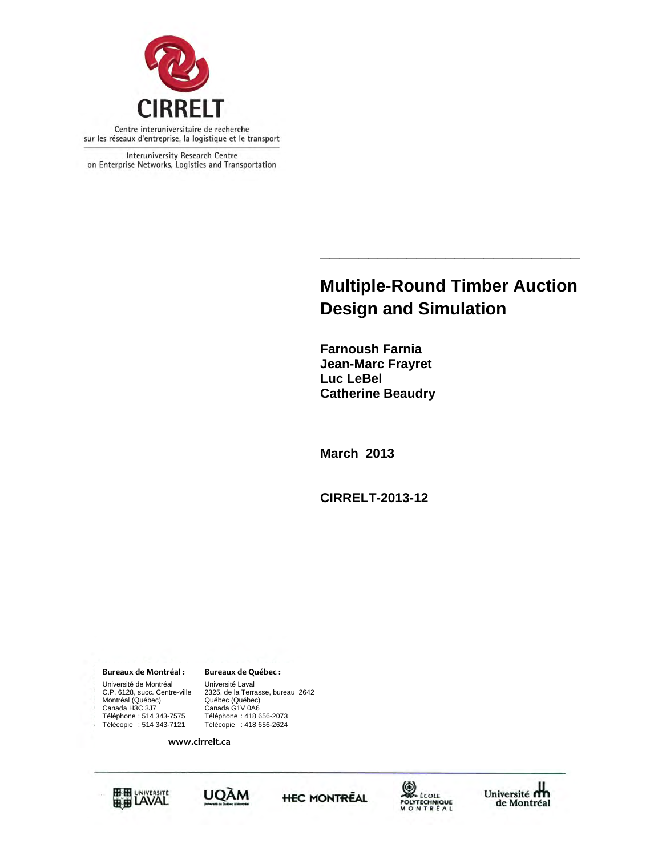

Interuniversity Research Centre on Enterprise Networks, Logistics and Transportation

# **Multiple-Round Timber Auction Design and Simulation**

**\_\_\_\_\_\_\_\_\_\_\_\_\_\_\_\_\_\_\_\_\_\_\_\_\_\_\_** 

 **Farnoush Farnia Jean-Marc Frayret Luc LeBel Catherine Beaudry** 

**March 2013** 

**CIRRELT-2013-12** 

**Bureaux de Montréal : Bureaux de Québec :**

Université de Montréal Université Laval C.P. 6128, succ. Centre-ville<br>Montréal (Québec)<br>Canada H3C 3J7 Téléphone : 514 343-7575 Téléphone : 418 656-2073<br>Télécopie : 514 343-7121 Télécopie : 418 656-2624

Canada G1V 0A6 2325, de la Terrasse, bureau 2642<br>Québec (Québec) Télécopie : 418 656-2624

**www.cirrelt.ca**





**HEC MONTREAL** 



Université  $\mathbf{d}$ <br>de Montréal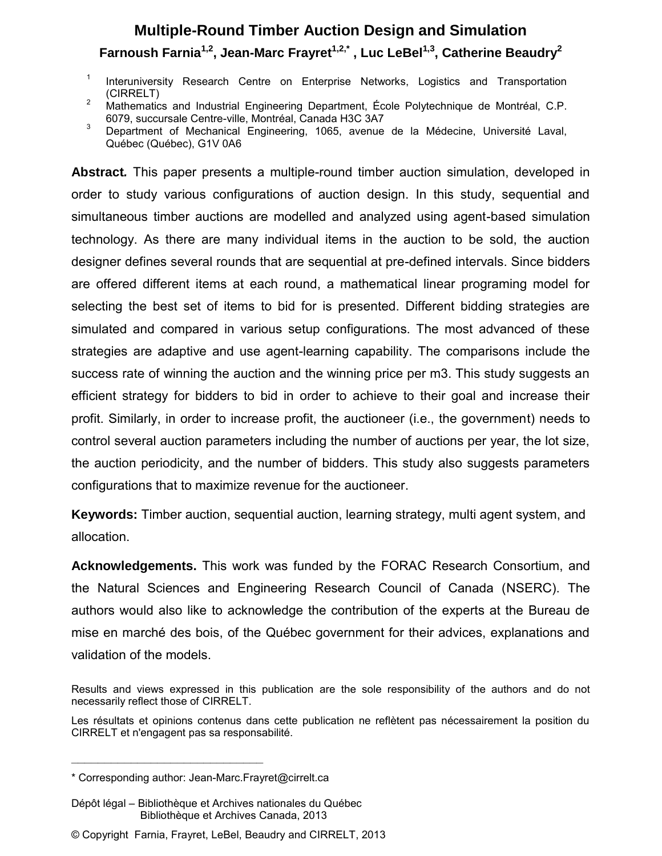# **Multiple-Round Timber Auction Design and Simulation Farnoush Farnia1,2 , Jean-Marc Frayret1,2,\* , Luc LeBel1,3 , Catherine Beaudry<sup>2</sup>**

- 1 Interuniversity Research Centre on Enterprise Networks, Logistics and Transportation
- (CIRRELT) 2 Mathematics and Industrial Engineering Department, École Polytechnique de Montréal, C.P. 6079, succursale Centre-ville, Montréal, Canada H3C 3A7
- <sup>3</sup> Department of Mechanical Engineering, 1065, avenue de la Médecine, Université Laval, Québec (Québec), G1V 0A6

**Abstract***.* This paper presents a multiple-round timber auction simulation, developed in order to study various configurations of auction design. In this study, sequential and simultaneous timber auctions are modelled and analyzed using agent-based simulation technology. As there are many individual items in the auction to be sold, the auction designer defines several rounds that are sequential at pre-defined intervals. Since bidders are offered different items at each round, a mathematical linear programing model for selecting the best set of items to bid for is presented. Different bidding strategies are simulated and compared in various setup configurations. The most advanced of these strategies are adaptive and use agent-learning capability. The comparisons include the success rate of winning the auction and the winning price per m3. This study suggests an efficient strategy for bidders to bid in order to achieve to their goal and increase their profit. Similarly, in order to increase profit, the auctioneer (i.e., the government) needs to control several auction parameters including the number of auctions per year, the lot size, the auction periodicity, and the number of bidders. This study also suggests parameters configurations that to maximize revenue for the auctioneer.

**Keywords:** Timber auction, sequential auction, learning strategy, multi agent system, and allocation.

**Acknowledgements.** This work was funded by the FORAC Research Consortium, and the Natural Sciences and Engineering Research Council of Canada (NSERC). The authors would also like to acknowledge the contribution of the experts at the Bureau de mise en marché des bois, of the Québec government for their advices, explanations and validation of the models.

**\_\_\_\_\_\_\_\_\_\_\_\_\_\_\_\_\_\_\_\_\_\_\_\_\_\_\_\_\_**

Results and views expressed in this publication are the sole responsibility of the authors and do not necessarily reflect those of CIRRELT.

Les résultats et opinions contenus dans cette publication ne reflètent pas nécessairement la position du CIRRELT et n'engagent pas sa responsabilité.

<sup>\*</sup> Corresponding author: Jean-Marc.Frayret@cirrelt.ca

Dépôt légal – Bibliothèque et Archives nationales du Québec Bibliothèque et Archives Canada, 2013

<sup>©</sup> Copyright Farnia, Frayret, LeBel, Beaudry and CIRRELT, 2013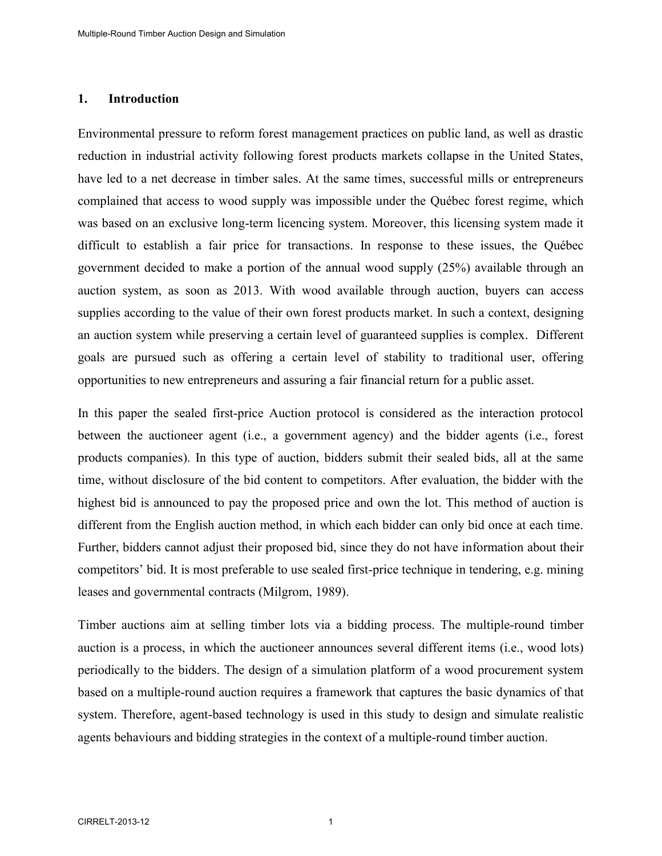#### **1. Introduction**

Environmental pressure to reform forest management practices on public land, as well as drastic reduction in industrial activity following forest products markets collapse in the United States, have led to a net decrease in timber sales. At the same times, successful mills or entrepreneurs complained that access to wood supply was impossible under the Québec forest regime, which was based on an exclusive long-term licencing system. Moreover, this licensing system made it difficult to establish a fair price for transactions. In response to these issues, the Québec government decided to make a portion of the annual wood supply (25%) available through an auction system, as soon as 2013. With wood available through auction, buyers can access supplies according to the value of their own forest products market. In such a context, designing an auction system while preserving a certain level of guaranteed supplies is complex. Different goals are pursued such as offering a certain level of stability to traditional user, offering opportunities to new entrepreneurs and assuring a fair financial return for a public asset.

In this paper the sealed first-price Auction protocol is considered as the interaction protocol between the auctioneer agent (i.e., a government agency) and the bidder agents (i.e., forest products companies). In this type of auction, bidders submit their sealed bids, all at the same time, without disclosure of the bid content to competitors. After evaluation, the bidder with the highest bid is announced to pay the proposed price and own the lot. This method of auction is different from the English auction method, in which each bidder can only bid once at each time. Further, bidders cannot adjust their proposed bid, since they do not have information about their competitors' bid. It is most preferable to use sealed first-price technique in tendering, e.g. mining leases and governmental contracts (Milgrom, 1989).

Timber auctions aim at selling timber lots via a bidding process. The multiple-round timber auction is a process, in which the auctioneer announces several different items (i.e., wood lots) periodically to the bidders. The design of a simulation platform of a wood procurement system based on a multiple-round auction requires a framework that captures the basic dynamics of that system. Therefore, agent-based technology is used in this study to design and simulate realistic agents behaviours and bidding strategies in the context of a multiple-round timber auction.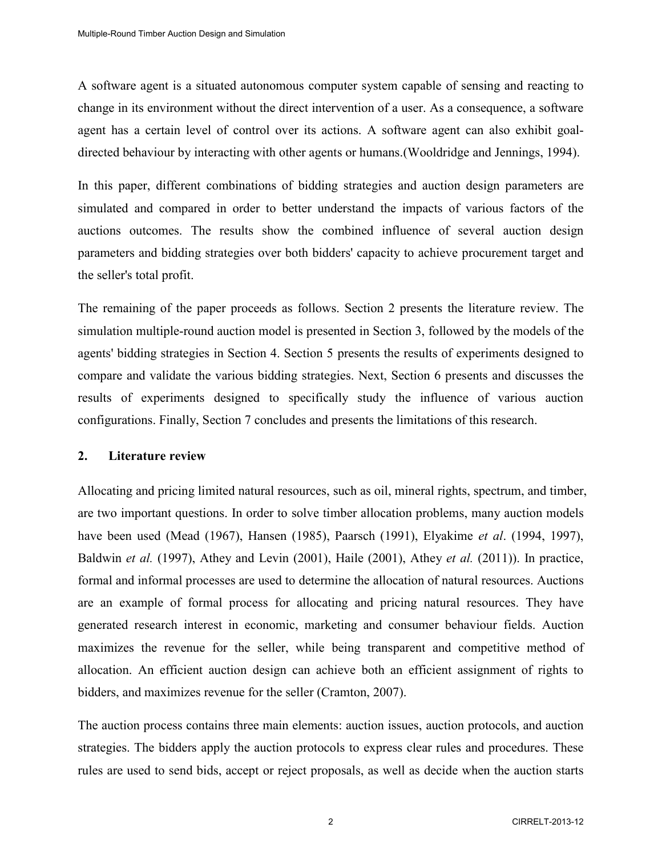A software agent is a situated autonomous computer system capable of sensing and reacting to change in its environment without the direct intervention of a user. As a consequence, a software agent has a certain level of control over its actions. A software agent can also exhibit goaldirected behaviour by interacting with other agents or humans.(Wooldridge and Jennings, 1994).

In this paper, different combinations of bidding strategies and auction design parameters are simulated and compared in order to better understand the impacts of various factors of the auctions outcomes. The results show the combined influence of several auction design parameters and bidding strategies over both bidders' capacity to achieve procurement target and the seller's total profit.

The remaining of the paper proceeds as follows. Section 2 presents the literature review. The simulation multiple-round auction model is presented in Section 3, followed by the models of the agents' bidding strategies in Section 4. Section 5 presents the results of experiments designed to compare and validate the various bidding strategies. Next, Section 6 presents and discusses the results of experiments designed to specifically study the influence of various auction configurations. Finally, Section 7 concludes and presents the limitations of this research.

## **2. Literature review**

Allocating and pricing limited natural resources, such as oil, mineral rights, spectrum, and timber, are two important questions. In order to solve timber allocation problems, many auction models have been used (Mead (1967), Hansen (1985), Paarsch (1991), Elyakime *et al*. (1994, 1997), Baldwin *et al.* (1997), Athey and Levin (2001), Haile (2001), Athey *et al.* (2011)). In practice, formal and informal processes are used to determine the allocation of natural resources. Auctions are an example of formal process for allocating and pricing natural resources. They have generated research interest in economic, marketing and consumer behaviour fields. Auction maximizes the revenue for the seller, while being transparent and competitive method of allocation. An efficient auction design can achieve both an efficient assignment of rights to bidders, and maximizes revenue for the seller (Cramton, 2007).

The auction process contains three main elements: auction issues, auction protocols, and auction strategies. The bidders apply the auction protocols to express clear rules and procedures. These rules are used to send bids, accept or reject proposals, as well as decide when the auction starts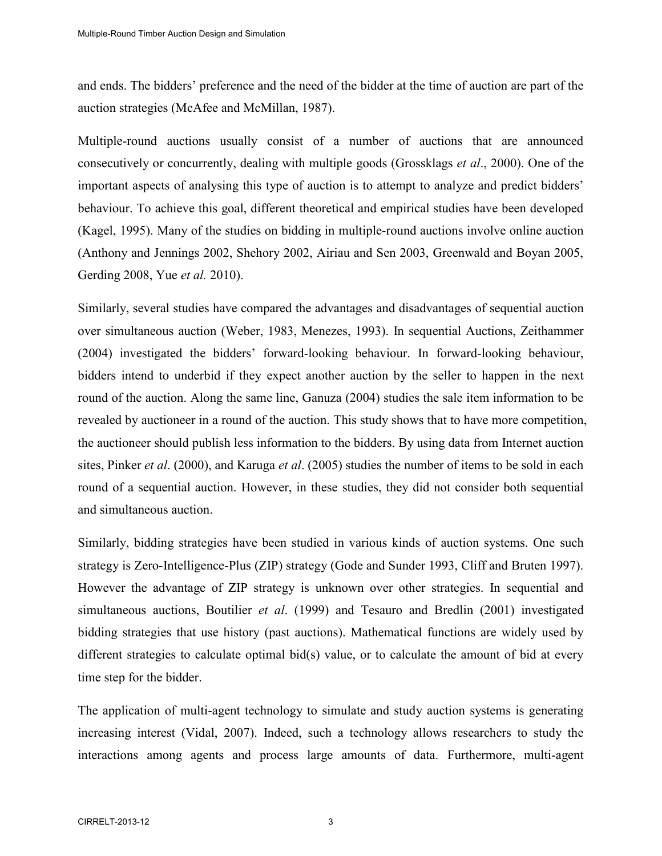and ends. The bidders' preference and the need of the bidder at the time of auction are part of the auction strategies (McAfee and McMillan, 1987).

Multiple-round auctions usually consist of a number of auctions that are announced consecutively or concurrently, dealing with multiple goods (Grossklags *et al*., 2000). One of the important aspects of analysing this type of auction is to attempt to analyze and predict bidders' behaviour. To achieve this goal, different theoretical and empirical studies have been developed (Kagel, 1995). Many of the studies on bidding in multiple-round auctions involve online auction (Anthony and Jennings 2002, Shehory 2002, Airiau and Sen 2003, Greenwald and Boyan 2005, Gerding 2008, Yue *et al.* 2010).

Similarly, several studies have compared the advantages and disadvantages of sequential auction over simultaneous auction (Weber, 1983, Menezes, 1993). In sequential Auctions, Zeithammer (2004) investigated the bidders' forward-looking behaviour. In forward-looking behaviour, bidders intend to underbid if they expect another auction by the seller to happen in the next round of the auction. Along the same line, Ganuza (2004) studies the sale item information to be revealed by auctioneer in a round of the auction. This study shows that to have more competition, the auctioneer should publish less information to the bidders. By using data from Internet auction sites, Pinker *et al*. (2000), and Karuga *et al*. (2005) studies the number of items to be sold in each round of a sequential auction. However, in these studies, they did not consider both sequential and simultaneous auction.

Similarly, bidding strategies have been studied in various kinds of auction systems. One such strategy is Zero-Intelligence-Plus (ZIP) strategy (Gode and Sunder 1993, Cliff and Bruten 1997). However the advantage of ZIP strategy is unknown over other strategies. In sequential and simultaneous auctions, Boutilier *et al*. (1999) and Tesauro and Bredlin (2001) investigated bidding strategies that use history (past auctions). Mathematical functions are widely used by different strategies to calculate optimal bid(s) value, or to calculate the amount of bid at every time step for the bidder.

The application of multi-agent technology to simulate and study auction systems is generating increasing interest (Vidal, 2007). Indeed, such a technology allows researchers to study the interactions among agents and process large amounts of data. Furthermore, multi-agent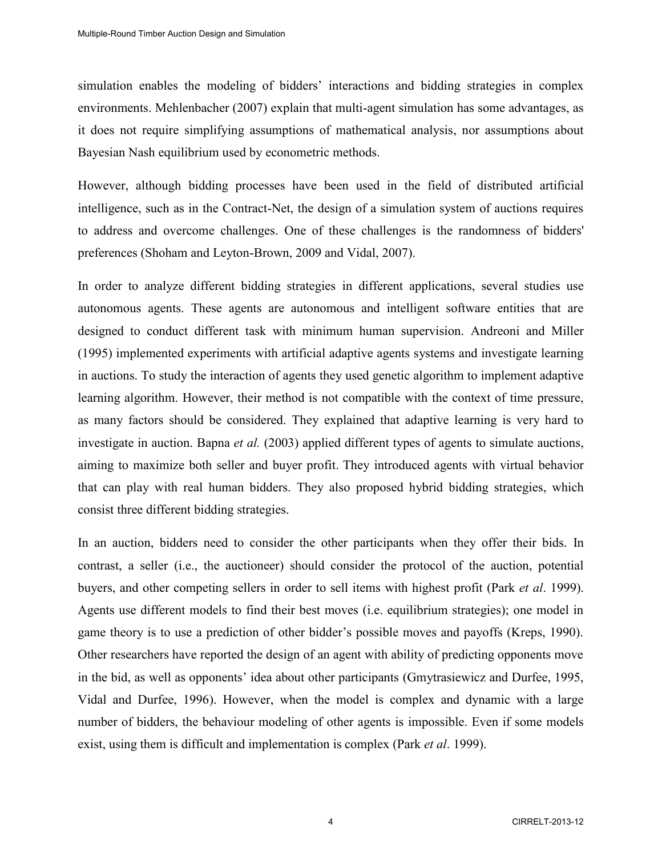simulation enables the modeling of bidders' interactions and bidding strategies in complex environments. Mehlenbacher (2007) explain that multi-agent simulation has some advantages, as it does not require simplifying assumptions of mathematical analysis, nor assumptions about Bayesian Nash equilibrium used by econometric methods.

However, although bidding processes have been used in the field of distributed artificial intelligence, such as in the Contract-Net, the design of a simulation system of auctions requires to address and overcome challenges. One of these challenges is the randomness of bidders' preferences (Shoham and Leyton-Brown, 2009 and Vidal, 2007).

In order to analyze different bidding strategies in different applications, several studies use autonomous agents. These agents are autonomous and intelligent software entities that are designed to conduct different task with minimum human supervision. Andreoni and Miller (1995) implemented experiments with artificial adaptive agents systems and investigate learning in auctions. To study the interaction of agents they used genetic algorithm to implement adaptive learning algorithm. However, their method is not compatible with the context of time pressure, as many factors should be considered. They explained that adaptive learning is very hard to investigate in auction. Bapna *et al.* (2003) applied different types of agents to simulate auctions, aiming to maximize both seller and buyer profit. They introduced agents with virtual behavior that can play with real human bidders. They also proposed hybrid bidding strategies, which consist three different bidding strategies.

In an auction, bidders need to consider the other participants when they offer their bids. In contrast, a seller (i.e., the auctioneer) should consider the protocol of the auction, potential buyers, and other competing sellers in order to sell items with highest profit (Park *et al*. 1999). Agents use different models to find their best moves (i.e. equilibrium strategies); one model in game theory is to use a prediction of other bidder's possible moves and payoffs (Kreps, 1990). Other researchers have reported the design of an agent with ability of predicting opponents move in the bid, as well as opponents' idea about other participants (Gmytrasiewicz and Durfee, 1995, Vidal and Durfee, 1996). However, when the model is complex and dynamic with a large number of bidders, the behaviour modeling of other agents is impossible. Even if some models exist, using them is difficult and implementation is complex (Park *et al*. 1999).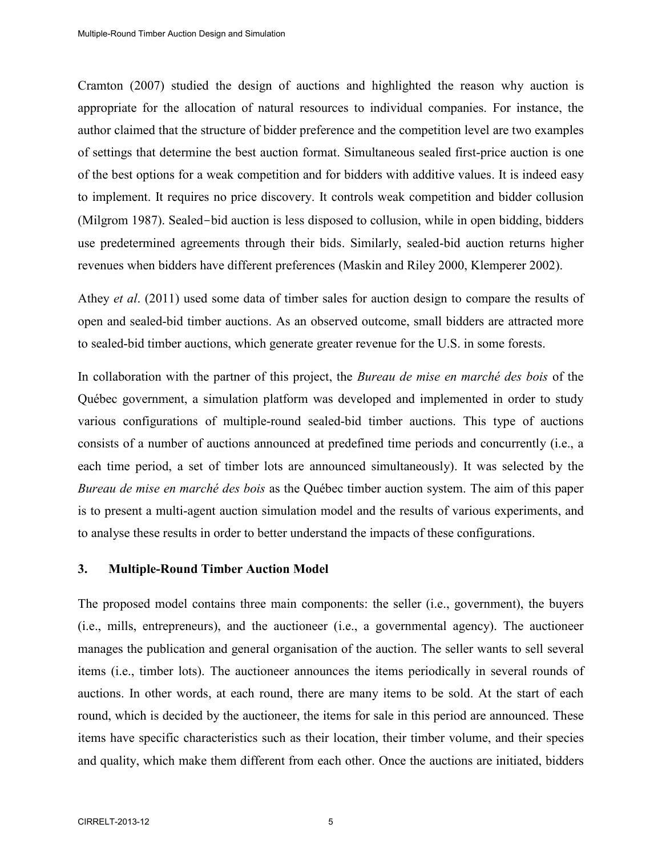Cramton (2007) studied the design of auctions and highlighted the reason why auction is appropriate for the allocation of natural resources to individual companies. For instance, the author claimed that the structure of bidder preference and the competition level are two examples of settings that determine the best auction format. Simultaneous sealed first-price auction is one of the best options for a weak competition and for bidders with additive values. It is indeed easy to implement. It requires no price discovery. It controls weak competition and bidder collusion (Milgrom 1987). Sealed-bid auction is less disposed to collusion, while in open bidding, bidders use predetermined agreements through their bids. Similarly, sealed-bid auction returns higher revenues when bidders have different preferences (Maskin and Riley 2000, Klemperer 2002).

Athey *et al*. (2011) used some data of timber sales for auction design to compare the results of open and sealed-bid timber auctions. As an observed outcome, small bidders are attracted more to sealed-bid timber auctions, which generate greater revenue for the U.S. in some forests.

In collaboration with the partner of this project, the *Bureau de mise en marché des bois* of the Québec government, a simulation platform was developed and implemented in order to study various configurations of multiple-round sealed-bid timber auctions. This type of auctions consists of a number of auctions announced at predefined time periods and concurrently (i.e., a each time period, a set of timber lots are announced simultaneously). It was selected by the *Bureau de mise en marché des bois* as the Québec timber auction system. The aim of this paper is to present a multi-agent auction simulation model and the results of various experiments, and to analyse these results in order to better understand the impacts of these configurations.

## **3. Multiple-Round Timber Auction Model**

The proposed model contains three main components: the seller (i.e., government), the buyers (i.e., mills, entrepreneurs), and the auctioneer (i.e., a governmental agency). The auctioneer manages the publication and general organisation of the auction. The seller wants to sell several items (i.e., timber lots). The auctioneer announces the items periodically in several rounds of auctions. In other words, at each round, there are many items to be sold. At the start of each round, which is decided by the auctioneer, the items for sale in this period are announced. These items have specific characteristics such as their location, their timber volume, and their species and quality, which make them different from each other. Once the auctions are initiated, bidders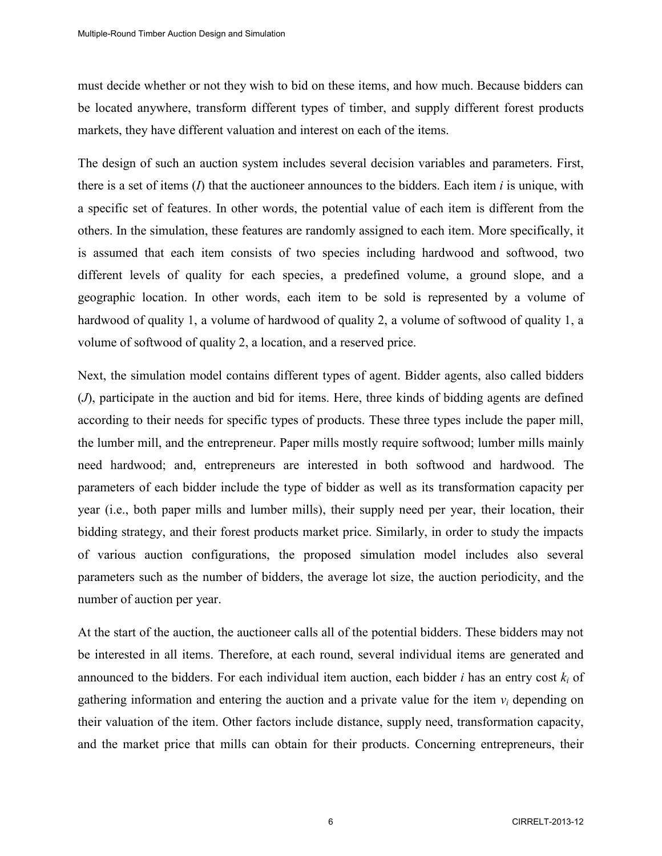must decide whether or not they wish to bid on these items, and how much. Because bidders can be located anywhere, transform different types of timber, and supply different forest products markets, they have different valuation and interest on each of the items.

The design of such an auction system includes several decision variables and parameters. First, there is a set of items  $(I)$  that the auctioneer announces to the bidders. Each item  $i$  is unique, with a specific set of features. In other words, the potential value of each item is different from the others. In the simulation, these features are randomly assigned to each item. More specifically, it is assumed that each item consists of two species including hardwood and softwood, two different levels of quality for each species, a predefined volume, a ground slope, and a geographic location. In other words, each item to be sold is represented by a volume of hardwood of quality 1, a volume of hardwood of quality 2, a volume of softwood of quality 1, a volume of softwood of quality 2, a location, and a reserved price.

Next, the simulation model contains different types of agent. Bidder agents, also called bidders (*J*), participate in the auction and bid for items. Here, three kinds of bidding agents are defined according to their needs for specific types of products. These three types include the paper mill, the lumber mill, and the entrepreneur. Paper mills mostly require softwood; lumber mills mainly need hardwood; and, entrepreneurs are interested in both softwood and hardwood. The parameters of each bidder include the type of bidder as well as its transformation capacity per year (i.e., both paper mills and lumber mills), their supply need per year, their location, their bidding strategy, and their forest products market price. Similarly, in order to study the impacts of various auction configurations, the proposed simulation model includes also several parameters such as the number of bidders, the average lot size, the auction periodicity, and the number of auction per year.

At the start of the auction, the auctioneer calls all of the potential bidders. These bidders may not be interested in all items. Therefore, at each round, several individual items are generated and announced to the bidders. For each individual item auction, each bidder *i* has an entry cost *k<sup>i</sup>* of gathering information and entering the auction and a private value for the item  $v_i$  depending on their valuation of the item. Other factors include distance, supply need, transformation capacity, and the market price that mills can obtain for their products. Concerning entrepreneurs, their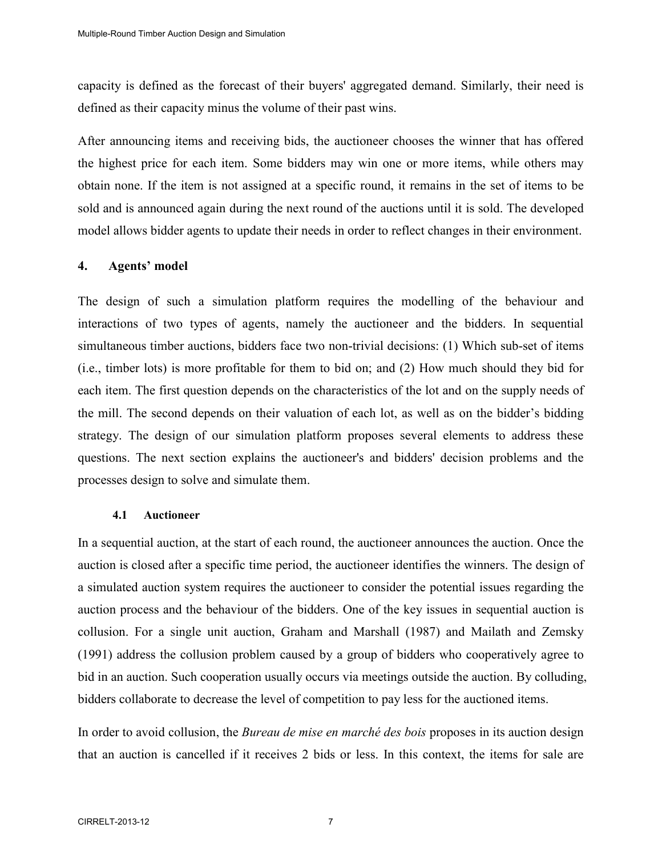capacity is defined as the forecast of their buyers' aggregated demand. Similarly, their need is defined as their capacity minus the volume of their past wins.

After announcing items and receiving bids, the auctioneer chooses the winner that has offered the highest price for each item. Some bidders may win one or more items, while others may obtain none. If the item is not assigned at a specific round, it remains in the set of items to be sold and is announced again during the next round of the auctions until it is sold. The developed model allows bidder agents to update their needs in order to reflect changes in their environment.

## **4. Agents' model**

The design of such a simulation platform requires the modelling of the behaviour and interactions of two types of agents, namely the auctioneer and the bidders. In sequential simultaneous timber auctions, bidders face two non-trivial decisions: (1) Which sub-set of items (i.e., timber lots) is more profitable for them to bid on; and (2) How much should they bid for each item. The first question depends on the characteristics of the lot and on the supply needs of the mill. The second depends on their valuation of each lot, as well as on the bidder's bidding strategy. The design of our simulation platform proposes several elements to address these questions. The next section explains the auctioneer's and bidders' decision problems and the processes design to solve and simulate them.

## **4.1 Auctioneer**

In a sequential auction, at the start of each round, the auctioneer announces the auction. Once the auction is closed after a specific time period, the auctioneer identifies the winners. The design of a simulated auction system requires the auctioneer to consider the potential issues regarding the auction process and the behaviour of the bidders. One of the key issues in sequential auction is collusion. For a single unit auction, Graham and Marshall (1987) and Mailath and Zemsky (1991) address the collusion problem caused by a group of bidders who cooperatively agree to bid in an auction. Such cooperation usually occurs via meetings outside the auction. By colluding, bidders collaborate to decrease the level of competition to pay less for the auctioned items.

In order to avoid collusion, the *Bureau de mise en marché des bois* proposes in its auction design that an auction is cancelled if it receives 2 bids or less. In this context, the items for sale are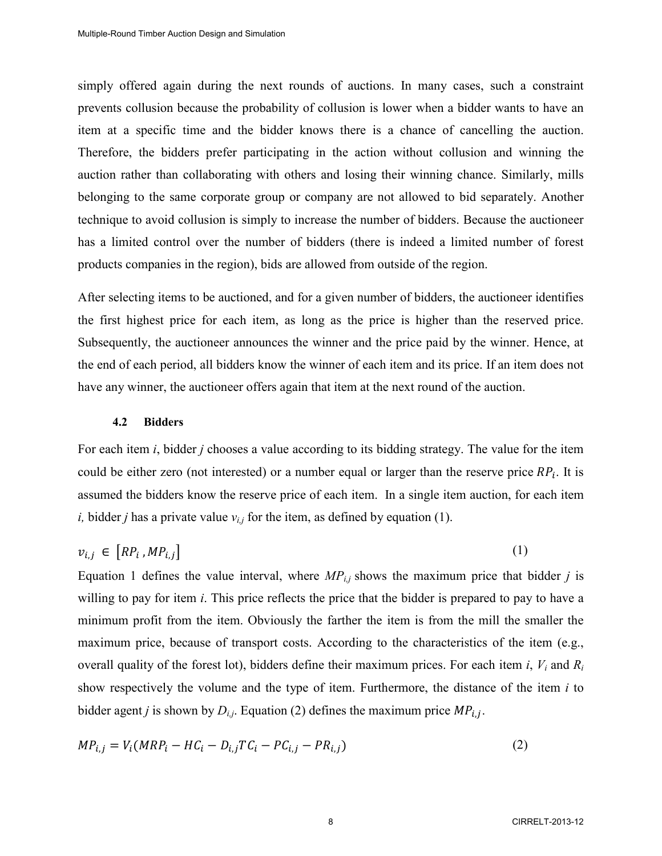simply offered again during the next rounds of auctions. In many cases, such a constraint prevents collusion because the probability of collusion is lower when a bidder wants to have an item at a specific time and the bidder knows there is a chance of cancelling the auction. Therefore, the bidders prefer participating in the action without collusion and winning the auction rather than collaborating with others and losing their winning chance. Similarly, mills belonging to the same corporate group or company are not allowed to bid separately. Another technique to avoid collusion is simply to increase the number of bidders. Because the auctioneer has a limited control over the number of bidders (there is indeed a limited number of forest products companies in the region), bids are allowed from outside of the region.

After selecting items to be auctioned, and for a given number of bidders, the auctioneer identifies the first highest price for each item, as long as the price is higher than the reserved price. Subsequently, the auctioneer announces the winner and the price paid by the winner. Hence, at the end of each period, all bidders know the winner of each item and its price. If an item does not have any winner, the auctioneer offers again that item at the next round of the auction.

#### **4.2 Bidders**

For each item *i*, bidder *j* chooses a value according to its bidding strategy. The value for the item could be either zero (not interested) or a number equal or larger than the reserve price  $RP_i$ . It is assumed the bidders know the reserve price of each item. In a single item auction, for each item *i*, bidder *j* has a private value  $v_{i,j}$  for the item, as defined by equation (1).

$$
v_{i,j} \in [RP_i, MP_{i,j}] \tag{1}
$$

Equation 1 defines the value interval, where  $MP_{i,j}$  shows the maximum price that bidder *j* is willing to pay for item *i*. This price reflects the price that the bidder is prepared to pay to have a minimum profit from the item. Obviously the farther the item is from the mill the smaller the maximum price, because of transport costs. According to the characteristics of the item (e.g., overall quality of the forest lot), bidders define their maximum prices. For each item *i*, *V<sup>i</sup>* and *R<sup>i</sup>* show respectively the volume and the type of item. Furthermore, the distance of the item *i* to bidder agent *j* is shown by  $D_{i,j}$ . Equation (2) defines the maximum price  $MP_{i,j}$ .

$$
MP_{i,j} = V_i(MRP_i - HC_i - D_{i,j}TC_i - PC_{i,j} - PR_{i,j})
$$
\n(2)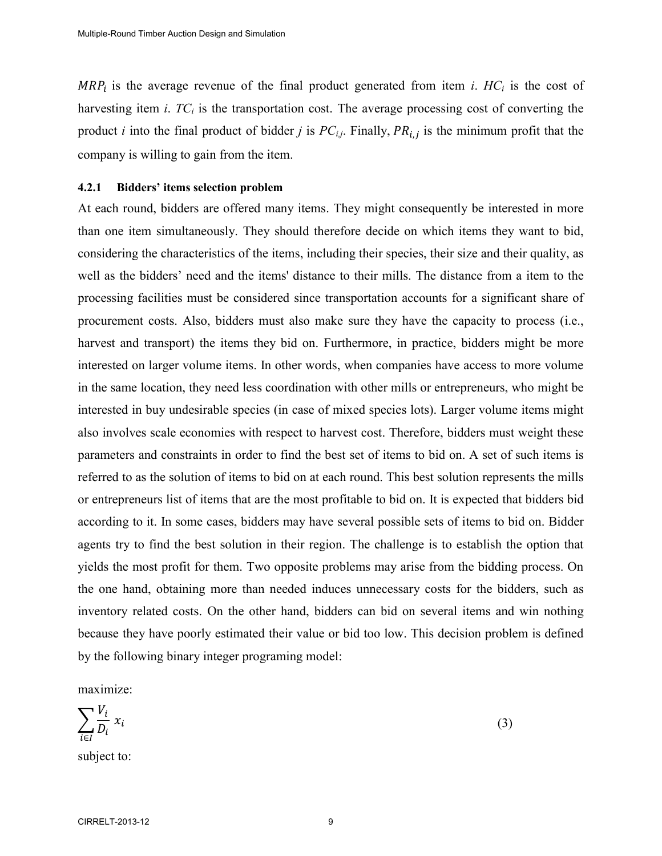$MRP_i$  is the average revenue of the final product generated from item *i*.  $HC_i$  is the cost of harvesting item *i*. *TC<sup>i</sup>* is the transportation cost. The average processing cost of converting the product *i* into the final product of bidder *j* is  $PC_{i,j}$ . Finally,  $PR_{i,j}$  is the minimum profit that the company is willing to gain from the item.

#### **4.2.1 Bidders' items selection problem**

At each round, bidders are offered many items. They might consequently be interested in more than one item simultaneously. They should therefore decide on which items they want to bid, considering the characteristics of the items, including their species, their size and their quality, as well as the bidders' need and the items' distance to their mills. The distance from a item to the processing facilities must be considered since transportation accounts for a significant share of procurement costs. Also, bidders must also make sure they have the capacity to process (i.e., harvest and transport) the items they bid on. Furthermore, in practice, bidders might be more interested on larger volume items. In other words, when companies have access to more volume in the same location, they need less coordination with other mills or entrepreneurs, who might be interested in buy undesirable species (in case of mixed species lots). Larger volume items might also involves scale economies with respect to harvest cost. Therefore, bidders must weight these parameters and constraints in order to find the best set of items to bid on. A set of such items is referred to as the solution of items to bid on at each round. This best solution represents the mills or entrepreneurs list of items that are the most profitable to bid on. It is expected that bidders bid according to it. In some cases, bidders may have several possible sets of items to bid on. Bidder agents try to find the best solution in their region. The challenge is to establish the option that yields the most profit for them. Two opposite problems may arise from the bidding process. On the one hand, obtaining more than needed induces unnecessary costs for the bidders, such as inventory related costs. On the other hand, bidders can bid on several items and win nothing because they have poorly estimated their value or bid too low. This decision problem is defined by the following binary integer programing model:

maximize:

∑  $V_{\rm i}$  $\overline{D}$  $\mathcal{X}$ i

subject to:

(3)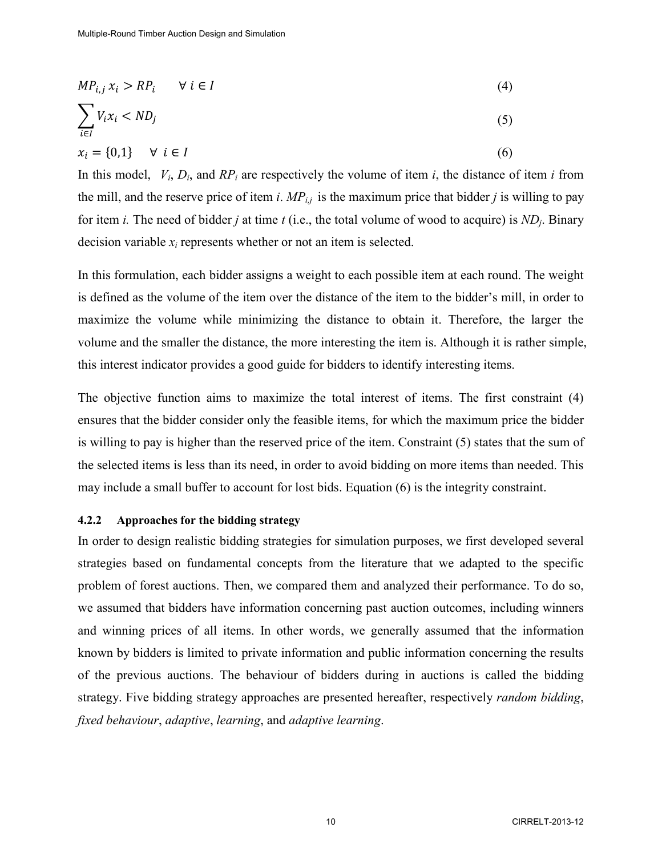$i \in I$ 

$$
MP_{i,j} x_i > RP_i \qquad \forall \ i \in I \tag{4}
$$

$$
\sum V_i x_i < N D_j \tag{5}
$$

$$
x_i = \{0,1\} \quad \forall \ i \in I \tag{6}
$$

In this model,  $V_i$ ,  $D_i$ , and  $RP_i$  are respectively the volume of item *i*, the distance of item *i* from the mill, and the reserve price of item *i*.  $MP_{i,j}$  is the maximum price that bidder *j* is willing to pay for item *i.* The need of bidder *j* at time *t* (i.e., the total volume of wood to acquire) is *ND<sup>j</sup>* . Binary decision variable *x<sup>i</sup>* represents whether or not an item is selected.

In this formulation, each bidder assigns a weight to each possible item at each round. The weight is defined as the volume of the item over the distance of the item to the bidder's mill, in order to maximize the volume while minimizing the distance to obtain it. Therefore, the larger the volume and the smaller the distance, the more interesting the item is. Although it is rather simple, this interest indicator provides a good guide for bidders to identify interesting items.

The objective function aims to maximize the total interest of items. The first constraint (4) ensures that the bidder consider only the feasible items, for which the maximum price the bidder is willing to pay is higher than the reserved price of the item. Constraint (5) states that the sum of the selected items is less than its need, in order to avoid bidding on more items than needed. This may include a small buffer to account for lost bids. Equation (6) is the integrity constraint.

## **4.2.2 Approaches for the bidding strategy**

In order to design realistic bidding strategies for simulation purposes, we first developed several strategies based on fundamental concepts from the literature that we adapted to the specific problem of forest auctions. Then, we compared them and analyzed their performance. To do so, we assumed that bidders have information concerning past auction outcomes, including winners and winning prices of all items. In other words, we generally assumed that the information known by bidders is limited to private information and public information concerning the results of the previous auctions. The behaviour of bidders during in auctions is called the bidding strategy. Five bidding strategy approaches are presented hereafter, respectively *random bidding*, *fixed behaviour*, *adaptive*, *learning*, and *adaptive learning*.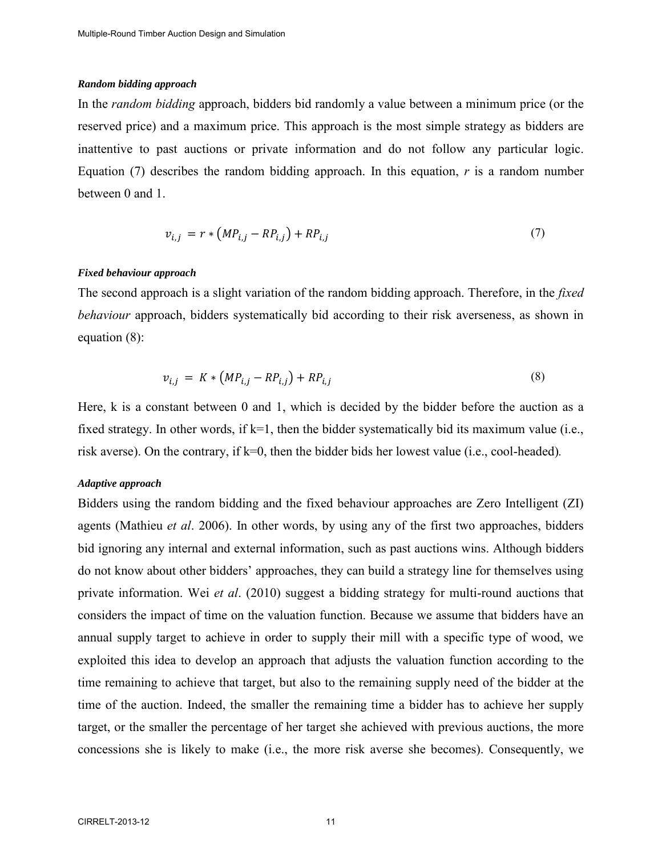#### *Random bidding approach*

In the *random bidding* approach, bidders bid randomly a value between a minimum price (or the reserved price) and a maximum price. This approach is the most simple strategy as bidders are inattentive to past auctions or private information and do not follow any particular logic. Equation (7) describes the random bidding approach. In this equation,  $r$  is a random number between 0 and 1.

$$
v_{i,j} = r * (MP_{i,j} - RP_{i,j}) + RP_{i,j}
$$
 (7)

#### *Fixed behaviour approach*

The second approach is a slight variation of the random bidding approach. Therefore, in the *fixed behaviour* approach, bidders systematically bid according to their risk averseness, as shown in equation (8):

$$
v_{i,j} = K * (MP_{i,j} - RP_{i,j}) + RP_{i,j}
$$
 (8)

Here, k is a constant between 0 and 1, which is decided by the bidder before the auction as a fixed strategy. In other words, if  $k=1$ , then the bidder systematically bid its maximum value (i.e., risk averse). On the contrary, if k=0, then the bidder bids her lowest value (i.e., cool-headed)*.*

#### *Adaptive approach*

Bidders using the random bidding and the fixed behaviour approaches are Zero Intelligent (ZI) agents (Mathieu *et al*. 2006). In other words, by using any of the first two approaches, bidders bid ignoring any internal and external information, such as past auctions wins. Although bidders do not know about other bidders' approaches, they can build a strategy line for themselves using private information. Wei *et al*. (2010) suggest a bidding strategy for multi-round auctions that considers the impact of time on the valuation function. Because we assume that bidders have an annual supply target to achieve in order to supply their mill with a specific type of wood, we exploited this idea to develop an approach that adjusts the valuation function according to the time remaining to achieve that target, but also to the remaining supply need of the bidder at the time of the auction. Indeed, the smaller the remaining time a bidder has to achieve her supply target, or the smaller the percentage of her target she achieved with previous auctions, the more concessions she is likely to make (i.e., the more risk averse she becomes). Consequently, we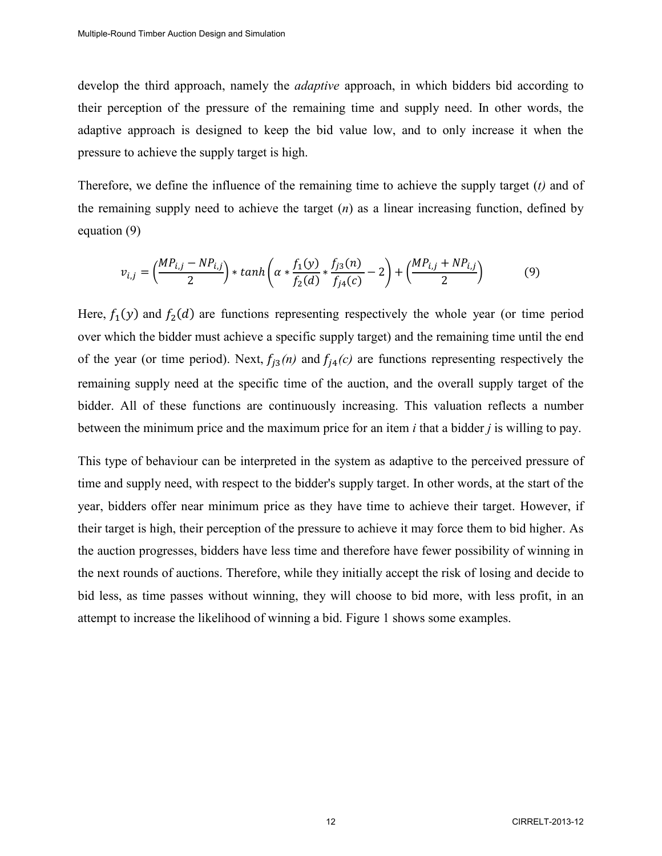develop the third approach, namely the *adaptive* approach, in which bidders bid according to their perception of the pressure of the remaining time and supply need. In other words, the adaptive approach is designed to keep the bid value low, and to only increase it when the pressure to achieve the supply target is high.

Therefore, we define the influence of the remaining time to achieve the supply target (*t)* and of the remaining supply need to achieve the target (*n*) as a linear increasing function, defined by equation (9)

$$
v_{i,j} = \left(\frac{MP_{i,j} - NP_{i,j}}{2}\right) * \tanh\left(\alpha * \frac{f_1(y)}{f_2(d)} * \frac{f_{j3}(n)}{f_{j4}(c)} - 2\right) + \left(\frac{MP_{i,j} + NP_{i,j}}{2}\right)
$$
(9)

Here,  $f_1(y)$  and  $f_2(d)$  are functions representing respectively the whole year (or time period over which the bidder must achieve a specific supply target) and the remaining time until the end of the year (or time period). Next,  $f_{i3}(n)$  and  $f_{i4}(c)$  are functions representing respectively the remaining supply need at the specific time of the auction, and the overall supply target of the bidder. All of these functions are continuously increasing. This valuation reflects a number between the minimum price and the maximum price for an item *i* that a bidder *j* is willing to pay.

This type of behaviour can be interpreted in the system as adaptive to the perceived pressure of time and supply need, with respect to the bidder's supply target. In other words, at the start of the year, bidders offer near minimum price as they have time to achieve their target. However, if their target is high, their perception of the pressure to achieve it may force them to bid higher. As the auction progresses, bidders have less time and therefore have fewer possibility of winning in the next rounds of auctions. Therefore, while they initially accept the risk of losing and decide to bid less, as time passes without winning, they will choose to bid more, with less profit, in an attempt to increase the likelihood of winning a bid. [Figure 1](#page-14-0) shows some examples.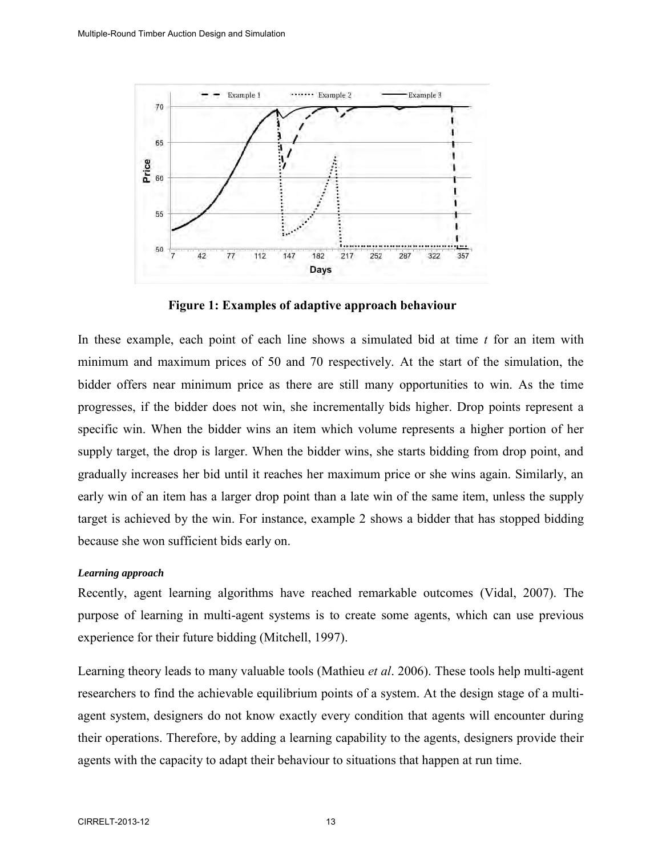

**Figure 1: Examples of adaptive approach behaviour**

<span id="page-14-0"></span>In these example, each point of each line shows a simulated bid at time *t* for an item with minimum and maximum prices of 50 and 70 respectively. At the start of the simulation, the bidder offers near minimum price as there are still many opportunities to win. As the time progresses, if the bidder does not win, she incrementally bids higher. Drop points represent a specific win. When the bidder wins an item which volume represents a higher portion of her supply target, the drop is larger. When the bidder wins, she starts bidding from drop point, and gradually increases her bid until it reaches her maximum price or she wins again. Similarly, an early win of an item has a larger drop point than a late win of the same item, unless the supply target is achieved by the win. For instance, example 2 shows a bidder that has stopped bidding because she won sufficient bids early on.

#### *Learning approach*

Recently, agent learning algorithms have reached remarkable outcomes (Vidal, 2007). The purpose of learning in multi-agent systems is to create some agents, which can use previous experience for their future bidding (Mitchell, 1997).

Learning theory leads to many valuable tools (Mathieu *et al*. 2006). These tools help multi-agent researchers to find the achievable equilibrium points of a system. At the design stage of a multiagent system, designers do not know exactly every condition that agents will encounter during their operations. Therefore, by adding a learning capability to the agents, designers provide their agents with the capacity to adapt their behaviour to situations that happen at run time.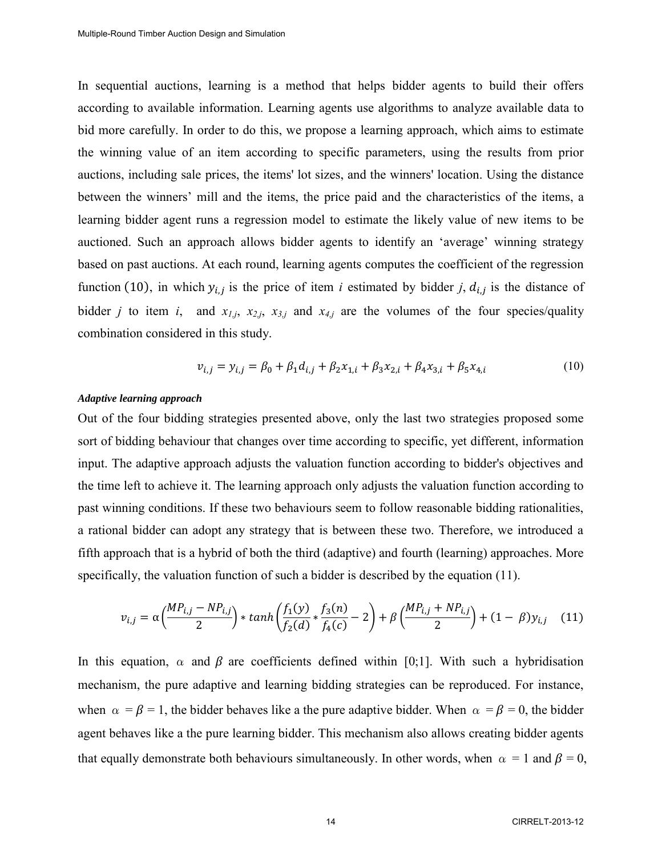In sequential auctions, learning is a method that helps bidder agents to build their offers according to available information. Learning agents use algorithms to analyze available data to bid more carefully. In order to do this, we propose a learning approach, which aims to estimate the winning value of an item according to specific parameters, using the results from prior auctions, including sale prices, the items' lot sizes, and the winners' location. Using the distance between the winners' mill and the items, the price paid and the characteristics of the items, a learning bidder agent runs a regression model to estimate the likely value of new items to be auctioned. Such an approach allows bidder agents to identify an 'average' winning strategy based on past auctions. At each round, learning agents computes the coefficient of the regression function (10), in which  $y_{i,j}$  is the price of item *i* estimated by bidder *j*,  $d_{i,j}$  is the distance of bidder *j* to item *i*, and  $x_{1,j}$ ,  $x_{2,j}$ ,  $x_{3,j}$  and  $x_{4,j}$  are the volumes of the four species/quality combination considered in this study.

$$
v_{i,j} = y_{i,j} = \beta_0 + \beta_1 d_{i,j} + \beta_2 x_{1,i} + \beta_3 x_{2,i} + \beta_4 x_{3,i} + \beta_5 x_{4,i}
$$
(10)

#### *Adaptive learning approach*

Out of the four bidding strategies presented above, only the last two strategies proposed some sort of bidding behaviour that changes over time according to specific, yet different, information input. The adaptive approach adjusts the valuation function according to bidder's objectives and the time left to achieve it. The learning approach only adjusts the valuation function according to past winning conditions. If these two behaviours seem to follow reasonable bidding rationalities, a rational bidder can adopt any strategy that is between these two. Therefore, we introduced a fifth approach that is a hybrid of both the third (adaptive) and fourth (learning) approaches. More specifically, the valuation function of such a bidder is described by the equation (11).

$$
v_{i,j} = \alpha \left(\frac{MP_{i,j} - NP_{i,j}}{2}\right) * \tanh\left(\frac{f_1(y)}{f_2(d)} * \frac{f_3(n)}{f_4(c)} - 2\right) + \beta \left(\frac{MP_{i,j} + NP_{i,j}}{2}\right) + (1 - \beta)y_{i,j} \quad (11)
$$

In this equation,  $\alpha$  and  $\beta$  are coefficients defined within [0;1]. With such a hybridisation mechanism, the pure adaptive and learning bidding strategies can be reproduced. For instance, when  $\alpha = \beta = 1$ , the bidder behaves like a the pure adaptive bidder. When  $\alpha = \beta = 0$ , the bidder agent behaves like a the pure learning bidder. This mechanism also allows creating bidder agents that equally demonstrate both behaviours simultaneously. In other words, when  $\alpha = 1$  and  $\beta = 0$ ,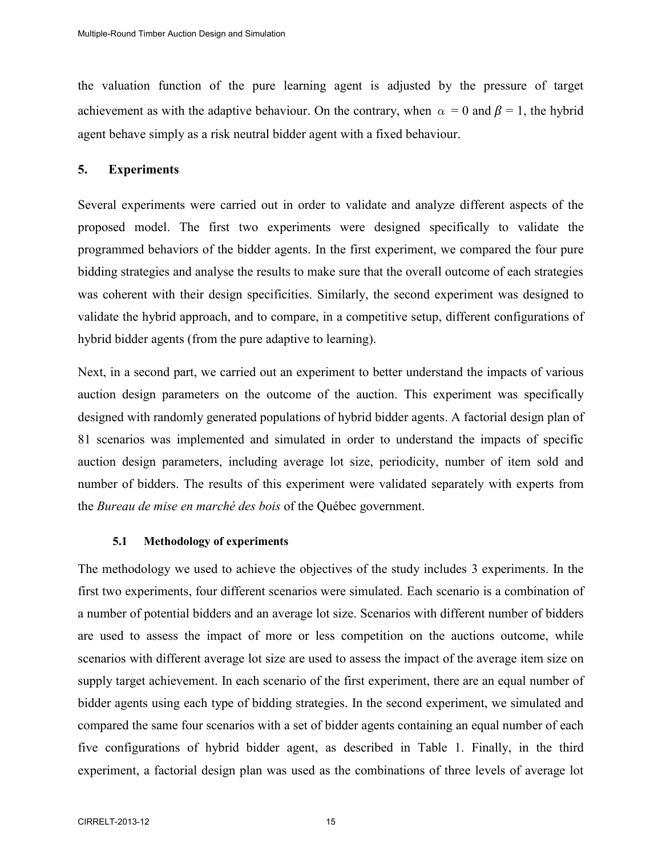the valuation function of the pure learning agent is adjusted by the pressure of target achievement as with the adaptive behaviour. On the contrary, when  $\alpha = 0$  and  $\beta = 1$ , the hybrid agent behave simply as a risk neutral bidder agent with a fixed behaviour.

#### **5. Experiments**

Several experiments were carried out in order to validate and analyze different aspects of the proposed model. The first two experiments were designed specifically to validate the programmed behaviors of the bidder agents. In the first experiment, we compared the four pure bidding strategies and analyse the results to make sure that the overall outcome of each strategies was coherent with their design specificities. Similarly, the second experiment was designed to validate the hybrid approach, and to compare, in a competitive setup, different configurations of hybrid bidder agents (from the pure adaptive to learning).

Next, in a second part, we carried out an experiment to better understand the impacts of various auction design parameters on the outcome of the auction. This experiment was specifically designed with randomly generated populations of hybrid bidder agents. A factorial design plan of 81 scenarios was implemented and simulated in order to understand the impacts of specific auction design parameters, including average lot size, periodicity, number of item sold and number of bidders. The results of this experiment were validated separately with experts from the *Bureau de mise en marché des bois* of the Québec government.

## **5.1 Methodology of experiments**

The methodology we used to achieve the objectives of the study includes 3 experiments. In the first two experiments, four different scenarios were simulated. Each scenario is a combination of a number of potential bidders and an average lot size. Scenarios with different number of bidders are used to assess the impact of more or less competition on the auctions outcome, while scenarios with different average lot size are used to assess the impact of the average item size on supply target achievement. In each scenario of the first experiment, there are an equal number of bidder agents using each type of bidding strategies. In the second experiment, we simulated and compared the same four scenarios with a set of bidder agents containing an equal number of each five configurations of hybrid bidder agent, as described in [Table 1.](#page-17-0) Finally, in the third experiment, a factorial design plan was used as the combinations of three levels of average lot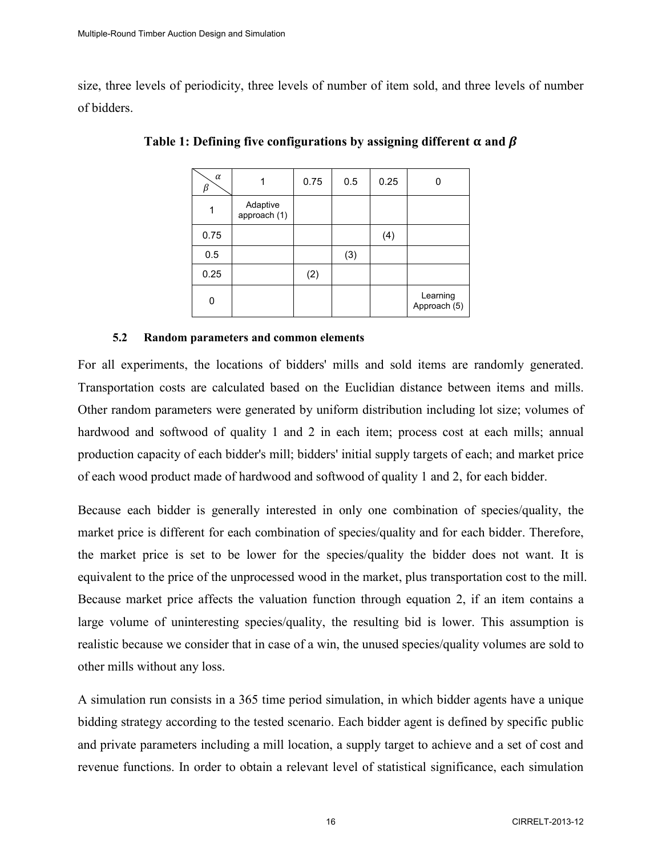<span id="page-17-0"></span>size, three levels of periodicity, three levels of number of item sold, and three levels of number of bidders.

| $\alpha$<br>β |                          | 0.75 | 0.5 | 0.25 |                          |
|---------------|--------------------------|------|-----|------|--------------------------|
|               | Adaptive<br>approach (1) |      |     |      |                          |
| 0.75          |                          |      |     | (4)  |                          |
| 0.5           |                          |      | (3) |      |                          |
| 0.25          |                          | (2)  |     |      |                          |
| 0             |                          |      |     |      | Learning<br>Approach (5) |

Table 1: Defining five configurations by assigning different  $\alpha$  and  $\beta$ 

## **5.2 Random parameters and common elements**

For all experiments, the locations of bidders' mills and sold items are randomly generated. Transportation costs are calculated based on the Euclidian distance between items and mills. Other random parameters were generated by uniform distribution including lot size; volumes of hardwood and softwood of quality 1 and 2 in each item; process cost at each mills; annual production capacity of each bidder's mill; bidders' initial supply targets of each; and market price of each wood product made of hardwood and softwood of quality 1 and 2, for each bidder.

Because each bidder is generally interested in only one combination of species/quality, the market price is different for each combination of species/quality and for each bidder. Therefore, the market price is set to be lower for the species/quality the bidder does not want. It is equivalent to the price of the unprocessed wood in the market, plus transportation cost to the mill. Because market price affects the valuation function through equation 2, if an item contains a large volume of uninteresting species/quality, the resulting bid is lower. This assumption is realistic because we consider that in case of a win, the unused species/quality volumes are sold to other mills without any loss.

A simulation run consists in a 365 time period simulation, in which bidder agents have a unique bidding strategy according to the tested scenario. Each bidder agent is defined by specific public and private parameters including a mill location, a supply target to achieve and a set of cost and revenue functions. In order to obtain a relevant level of statistical significance, each simulation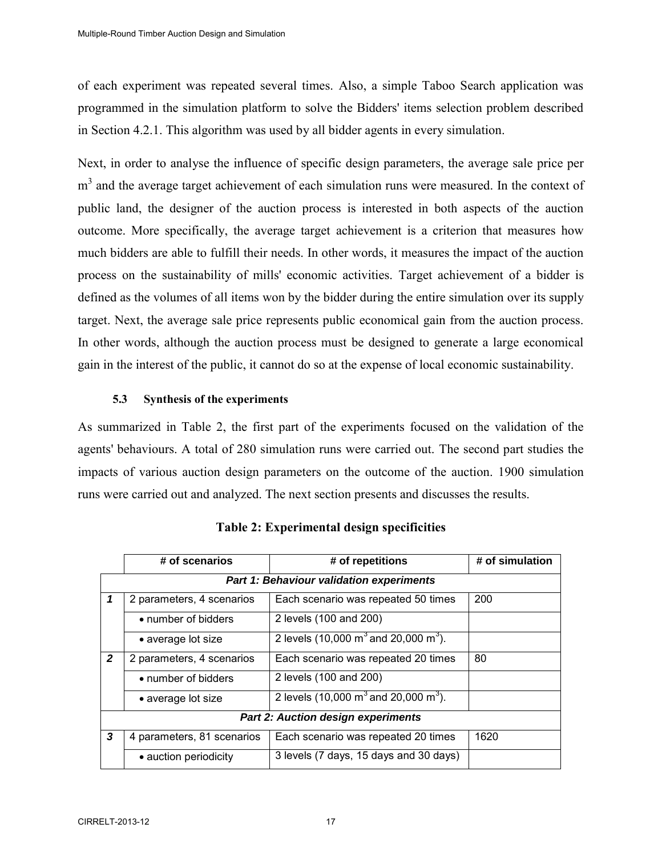of each experiment was repeated several times. Also, a simple Taboo Search application was programmed in the simulation platform to solve the Bidders' items selection problem described in Section 4.2.1. This algorithm was used by all bidder agents in every simulation.

Next, in order to analyse the influence of specific design parameters, the average sale price per m<sup>3</sup> and the average target achievement of each simulation runs were measured. In the context of public land, the designer of the auction process is interested in both aspects of the auction outcome. More specifically, the average target achievement is a criterion that measures how much bidders are able to fulfill their needs. In other words, it measures the impact of the auction process on the sustainability of mills' economic activities. Target achievement of a bidder is defined as the volumes of all items won by the bidder during the entire simulation over its supply target. Next, the average sale price represents public economical gain from the auction process. In other words, although the auction process must be designed to generate a large economical gain in the interest of the public, it cannot do so at the expense of local economic sustainability.

# **5.3 Synthesis of the experiments**

As summarized in [Table 2,](#page-18-0) the first part of the experiments focused on the validation of the agents' behaviours. A total of 280 simulation runs were carried out. The second part studies the impacts of various auction design parameters on the outcome of the auction. 1900 simulation runs were carried out and analyzed. The next section presents and discusses the results.

<span id="page-18-0"></span>

|                                                 | # of scenarios                                                  | # of repetitions                           | # of simulation |  |  |  |  |
|-------------------------------------------------|-----------------------------------------------------------------|--------------------------------------------|-----------------|--|--|--|--|
| <b>Part 1: Behaviour validation experiments</b> |                                                                 |                                            |                 |  |  |  |  |
| 1                                               | 2 parameters, 4 scenarios                                       | Each scenario was repeated 50 times        | 200             |  |  |  |  |
|                                                 | • number of bidders                                             | 2 levels (100 and 200)                     |                 |  |  |  |  |
|                                                 | • average lot size                                              | 2 levels (10,000 $m^3$ and 20,000 $m^3$ ). |                 |  |  |  |  |
| $\overline{2}$                                  | 2 parameters, 4 scenarios                                       | Each scenario was repeated 20 times        | 80              |  |  |  |  |
|                                                 | • number of bidders                                             | 2 levels (100 and 200)                     |                 |  |  |  |  |
|                                                 | • average lot size                                              | 2 levels (10,000 $m^3$ and 20,000 $m^3$ ). |                 |  |  |  |  |
| <b>Part 2: Auction design experiments</b>       |                                                                 |                                            |                 |  |  |  |  |
| 3                                               | 4 parameters, 81 scenarios                                      | Each scenario was repeated 20 times        | 1620            |  |  |  |  |
|                                                 | 3 levels (7 days, 15 days and 30 days)<br>• auction periodicity |                                            |                 |  |  |  |  |

**Table 2: Experimental design specificities**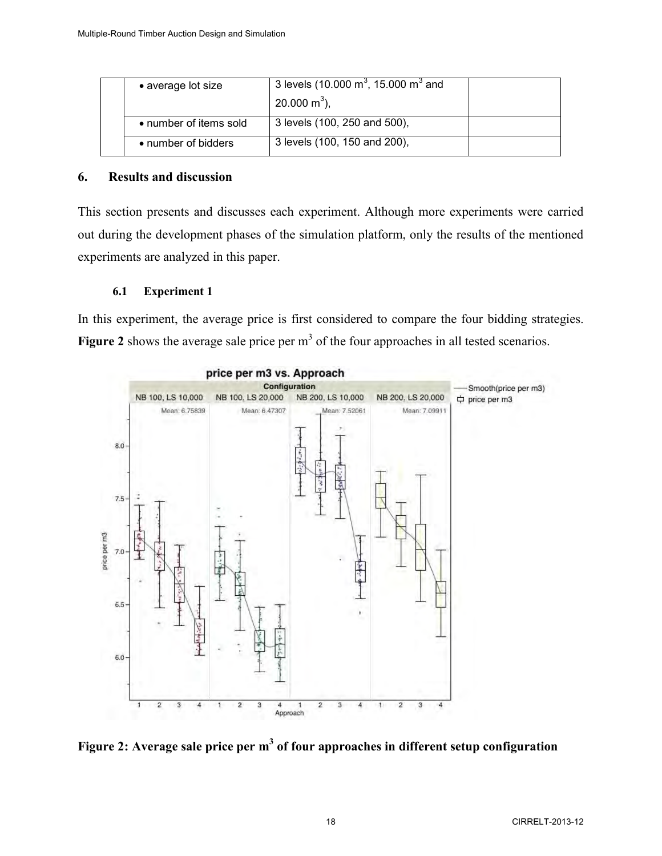| • average lot size     | 3 levels (10.000 m <sup>3</sup> , 15.000 m <sup>3</sup> and |  |
|------------------------|-------------------------------------------------------------|--|
|                        | 20.000 m <sup>3</sup> ),                                    |  |
| • number of items sold | 3 levels (100, 250 and 500),                                |  |
| • number of bidders    | 3 levels (100, 150 and 200),                                |  |

## **6. Results and discussion**

This section presents and discusses each experiment. Although more experiments were carried out during the development phases of the simulation platform, only the results of the mentioned experiments are analyzed in this paper.

## **6.1 Experiment 1**

In this experiment, the average price is first considered to compare the four bidding strategies. **[Figure 2](#page-19-0)** shows the average sale price per  $m<sup>3</sup>$  of the four approaches in all tested scenarios.



<span id="page-19-0"></span>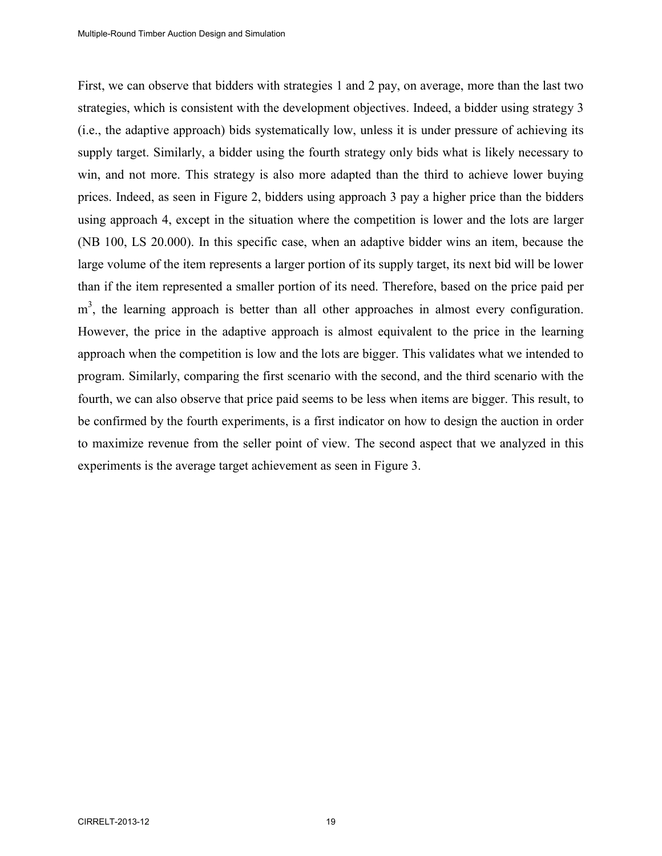First, we can observe that bidders with strategies 1 and 2 pay, on average, more than the last two strategies, which is consistent with the development objectives. Indeed, a bidder using strategy 3 (i.e., the adaptive approach) bids systematically low, unless it is under pressure of achieving its supply target. Similarly, a bidder using the fourth strategy only bids what is likely necessary to win, and not more. This strategy is also more adapted than the third to achieve lower buying prices. Indeed, as seen in Figure 2, bidders using approach 3 pay a higher price than the bidders using approach 4, except in the situation where the competition is lower and the lots are larger (NB 100, LS 20.000). In this specific case, when an adaptive bidder wins an item, because the large volume of the item represents a larger portion of its supply target, its next bid will be lower than if the item represented a smaller portion of its need. Therefore, based on the price paid per  $m<sup>3</sup>$ , the learning approach is better than all other approaches in almost every configuration. However, the price in the adaptive approach is almost equivalent to the price in the learning approach when the competition is low and the lots are bigger. This validates what we intended to program. Similarly, comparing the first scenario with the second, and the third scenario with the fourth, we can also observe that price paid seems to be less when items are bigger. This result, to be confirmed by the fourth experiments, is a first indicator on how to design the auction in order to maximize revenue from the seller point of view. The second aspect that we analyzed in this experiments is the average target achievement as seen in [Figure 3.](#page-21-0)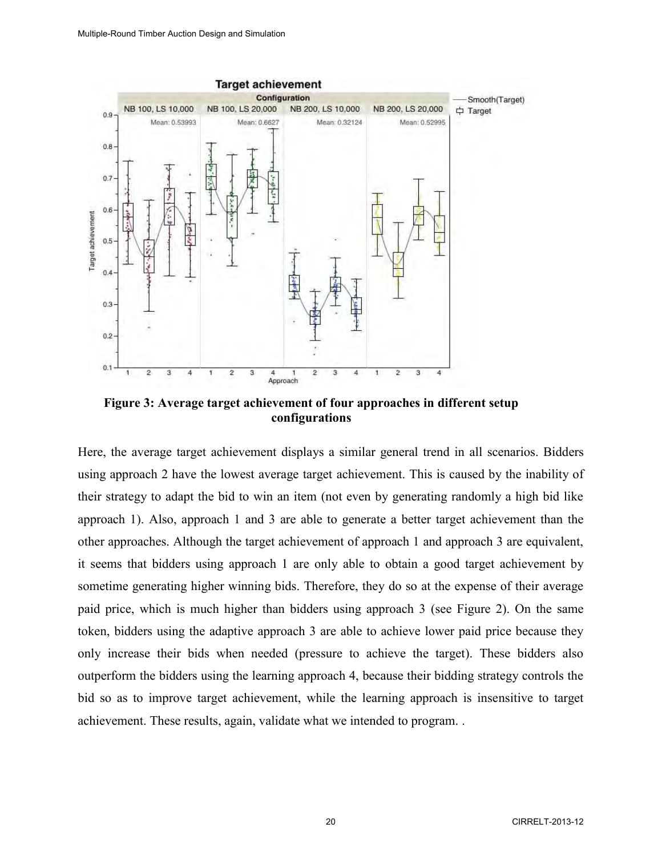

<span id="page-21-0"></span>**Figure 3: Average target achievement of four approaches in different setup configurations**

Here, the average target achievement displays a similar general trend in all scenarios. Bidders using approach 2 have the lowest average target achievement. This is caused by the inability of their strategy to adapt the bid to win an item (not even by generating randomly a high bid like approach 1). Also, approach 1 and 3 are able to generate a better target achievement than the other approaches. Although the target achievement of approach 1 and approach 3 are equivalent, it seems that bidders using approach 1 are only able to obtain a good target achievement by sometime generating higher winning bids. Therefore, they do so at the expense of their average paid price, which is much higher than bidders using approach 3 (see Figure 2). On the same token, bidders using the adaptive approach 3 are able to achieve lower paid price because they only increase their bids when needed (pressure to achieve the target). These bidders also outperform the bidders using the learning approach 4, because their bidding strategy controls the bid so as to improve target achievement, while the learning approach is insensitive to target achievement. These results, again, validate what we intended to program. .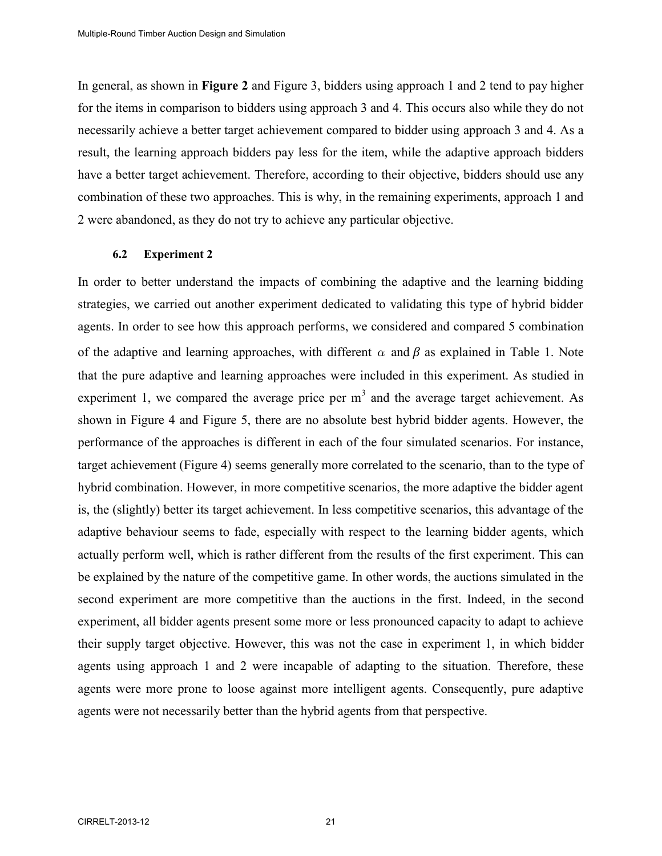In general, as shown in **[Figure 2](#page-19-0)** and [Figure 3,](#page-21-0) bidders using approach 1 and 2 tend to pay higher for the items in comparison to bidders using approach 3 and 4. This occurs also while they do not necessarily achieve a better target achievement compared to bidder using approach 3 and 4. As a result, the learning approach bidders pay less for the item, while the adaptive approach bidders have a better target achievement. Therefore, according to their objective, bidders should use any combination of these two approaches. This is why, in the remaining experiments, approach 1 and 2 were abandoned, as they do not try to achieve any particular objective.

#### **6.2 Experiment 2**

In order to better understand the impacts of combining the adaptive and the learning bidding strategies, we carried out another experiment dedicated to validating this type of hybrid bidder agents. In order to see how this approach performs, we considered and compared 5 combination of the adaptive and learning approaches, with different  $\alpha$  and  $\beta$  as explained in [Table 1.](#page-17-0) Note that the pure adaptive and learning approaches were included in this experiment. As studied in experiment 1, we compared the average price per  $m<sup>3</sup>$  and the average target achievement. As shown in [Figure 4](#page-23-0) and [Figure 5,](#page-24-0) there are no absolute best hybrid bidder agents. However, the performance of the approaches is different in each of the four simulated scenarios. For instance, target achievement [\(Figure 4\)](#page-23-0) seems generally more correlated to the scenario, than to the type of hybrid combination. However, in more competitive scenarios, the more adaptive the bidder agent is, the (slightly) better its target achievement. In less competitive scenarios, this advantage of the adaptive behaviour seems to fade, especially with respect to the learning bidder agents, which actually perform well, which is rather different from the results of the first experiment. This can be explained by the nature of the competitive game. In other words, the auctions simulated in the second experiment are more competitive than the auctions in the first. Indeed, in the second experiment, all bidder agents present some more or less pronounced capacity to adapt to achieve their supply target objective. However, this was not the case in experiment 1, in which bidder agents using approach 1 and 2 were incapable of adapting to the situation. Therefore, these agents were more prone to loose against more intelligent agents. Consequently, pure adaptive agents were not necessarily better than the hybrid agents from that perspective.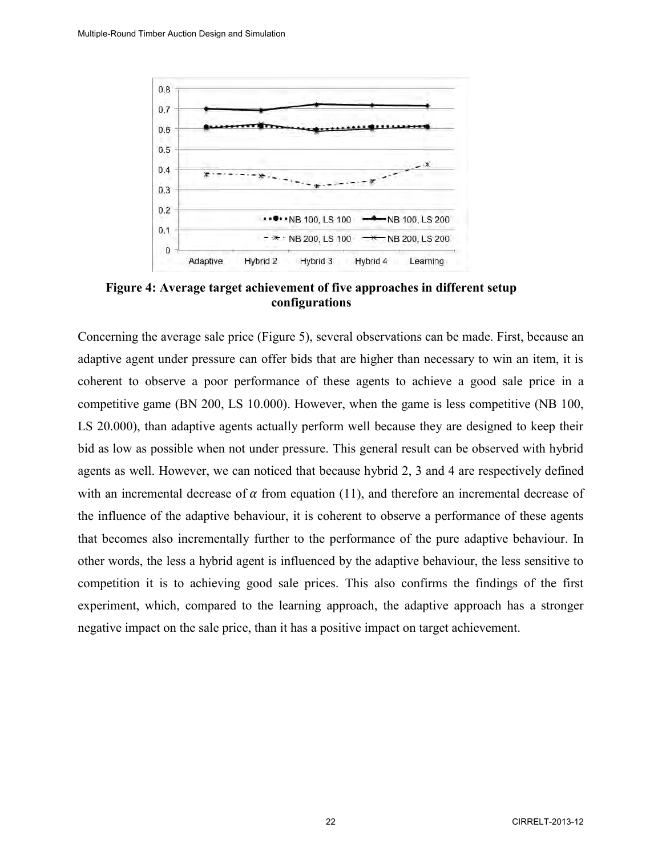

<span id="page-23-0"></span>**Figure 4: Average target achievement of five approaches in different setup configurations**

Concerning the average sale price [\(Figure 5\)](#page-24-0), several observations can be made. First, because an adaptive agent under pressure can offer bids that are higher than necessary to win an item, it is coherent to observe a poor performance of these agents to achieve a good sale price in a competitive game (BN 200, LS 10.000). However, when the game is less competitive (NB 100, LS 20.000), than adaptive agents actually perform well because they are designed to keep their bid as low as possible when not under pressure. This general result can be observed with hybrid agents as well. However, we can noticed that because hybrid 2, 3 and 4 are respectively defined with an incremental decrease of  $\alpha$  from equation (11), and therefore an incremental decrease of the influence of the adaptive behaviour, it is coherent to observe a performance of these agents that becomes also incrementally further to the performance of the pure adaptive behaviour. In other words, the less a hybrid agent is influenced by the adaptive behaviour, the less sensitive to competition it is to achieving good sale prices. This also confirms the findings of the first experiment, which, compared to the learning approach, the adaptive approach has a stronger negative impact on the sale price, than it has a positive impact on target achievement.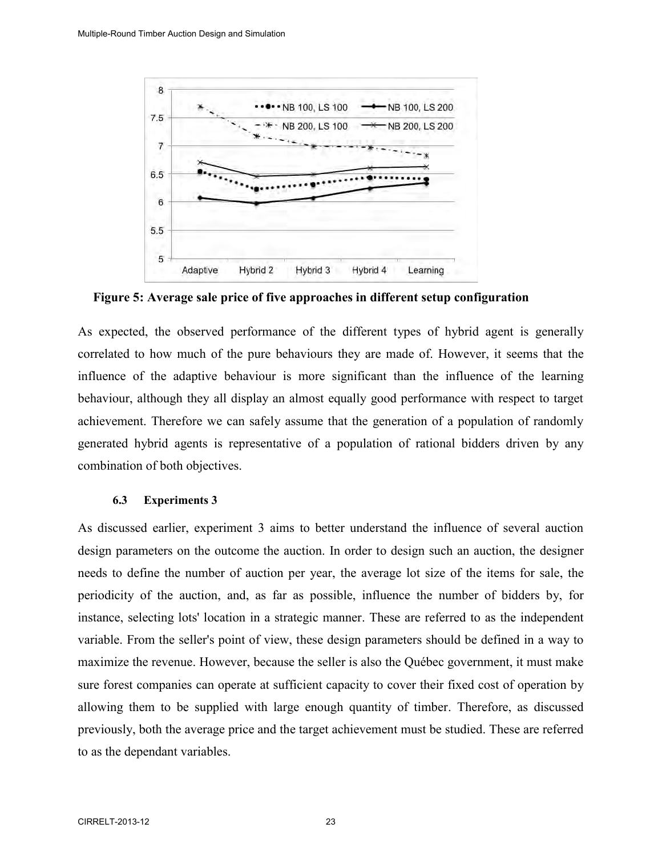

<span id="page-24-0"></span>**Figure 5: Average sale price of five approaches in different setup configuration**

As expected, the observed performance of the different types of hybrid agent is generally correlated to how much of the pure behaviours they are made of. However, it seems that the influence of the adaptive behaviour is more significant than the influence of the learning behaviour, although they all display an almost equally good performance with respect to target achievement. Therefore we can safely assume that the generation of a population of randomly generated hybrid agents is representative of a population of rational bidders driven by any combination of both objectives.

## **6.3 Experiments 3**

As discussed earlier, experiment 3 aims to better understand the influence of several auction design parameters on the outcome the auction. In order to design such an auction, the designer needs to define the number of auction per year, the average lot size of the items for sale, the periodicity of the auction, and, as far as possible, influence the number of bidders by, for instance, selecting lots' location in a strategic manner. These are referred to as the independent variable. From the seller's point of view, these design parameters should be defined in a way to maximize the revenue. However, because the seller is also the Québec government, it must make sure forest companies can operate at sufficient capacity to cover their fixed cost of operation by allowing them to be supplied with large enough quantity of timber. Therefore, as discussed previously, both the average price and the target achievement must be studied. These are referred to as the dependant variables.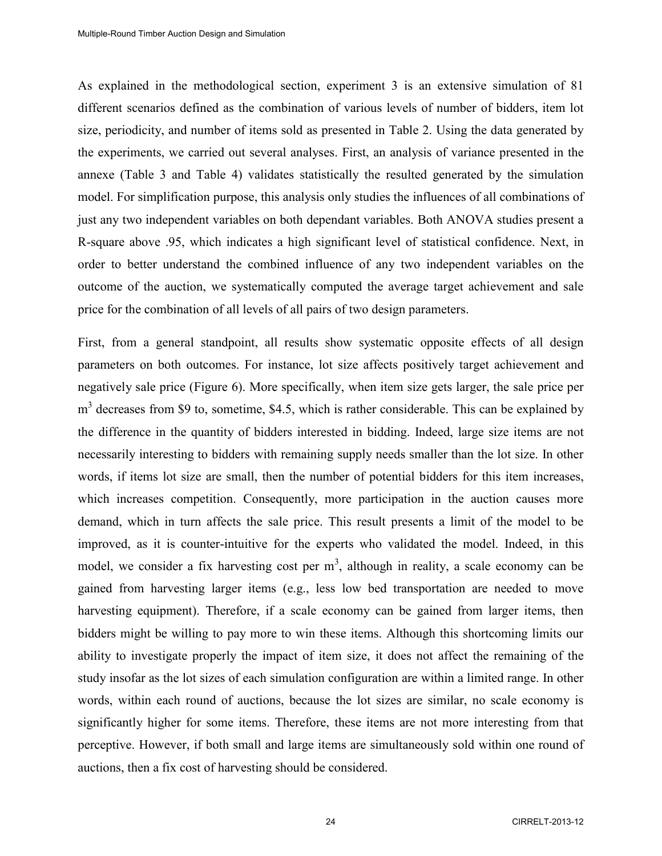As explained in the methodological section, experiment 3 is an extensive simulation of 81 different scenarios defined as the combination of various levels of number of bidders, item lot size, periodicity, and number of items sold as presented in [Table 2.](#page-18-0) Using the data generated by the experiments, we carried out several analyses. First, an analysis of variance presented in the annexe [\(Table 3](#page-30-0) and [Table 4\)](#page-31-0) validates statistically the resulted generated by the simulation model. For simplification purpose, this analysis only studies the influences of all combinations of just any two independent variables on both dependant variables. Both ANOVA studies present a R-square above .95, which indicates a high significant level of statistical confidence. Next, in order to better understand the combined influence of any two independent variables on the outcome of the auction, we systematically computed the average target achievement and sale price for the combination of all levels of all pairs of two design parameters.

First, from a general standpoint, all results show systematic opposite effects of all design parameters on both outcomes. For instance, lot size affects positively target achievement and negatively sale price [\(Figure 6\)](#page-26-0). More specifically, when item size gets larger, the sale price per  $m<sup>3</sup>$  decreases from \$9 to, sometime, \$4.5, which is rather considerable. This can be explained by the difference in the quantity of bidders interested in bidding. Indeed, large size items are not necessarily interesting to bidders with remaining supply needs smaller than the lot size. In other words, if items lot size are small, then the number of potential bidders for this item increases, which increases competition. Consequently, more participation in the auction causes more demand, which in turn affects the sale price. This result presents a limit of the model to be improved, as it is counter-intuitive for the experts who validated the model. Indeed, in this model, we consider a fix harvesting cost per  $m<sup>3</sup>$ , although in reality, a scale economy can be gained from harvesting larger items (e.g., less low bed transportation are needed to move harvesting equipment). Therefore, if a scale economy can be gained from larger items, then bidders might be willing to pay more to win these items. Although this shortcoming limits our ability to investigate properly the impact of item size, it does not affect the remaining of the study insofar as the lot sizes of each simulation configuration are within a limited range. In other words, within each round of auctions, because the lot sizes are similar, no scale economy is significantly higher for some items. Therefore, these items are not more interesting from that perceptive. However, if both small and large items are simultaneously sold within one round of auctions, then a fix cost of harvesting should be considered.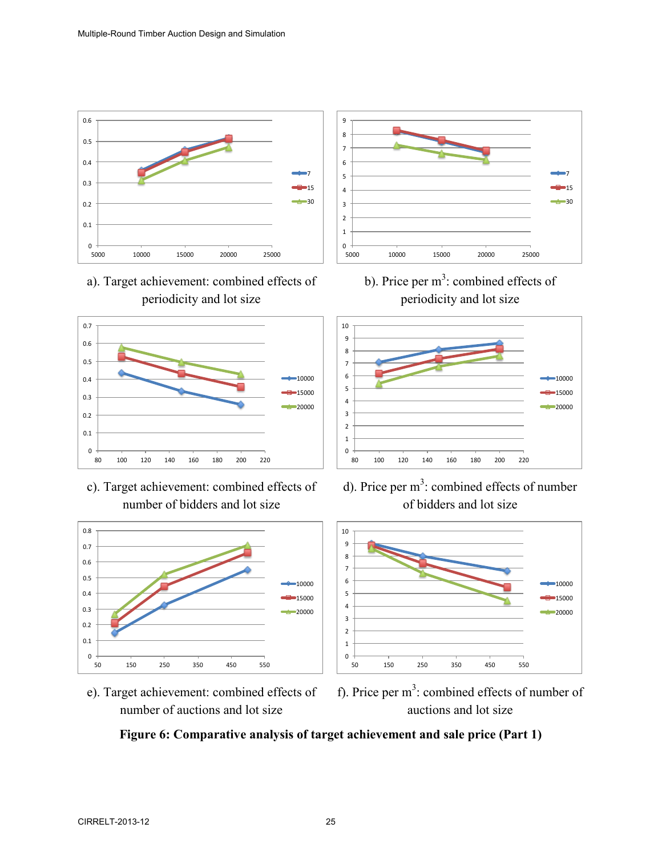





c). Target achievement: combined effects of number of bidders and lot size



e). Target achievement: combined effects of number of auctions and lot size

<span id="page-26-0"></span>







d). Price per  $m^3$ : combined effects of number of bidders and lot size



f). Price per  $m^3$ : combined effects of number of auctions and lot size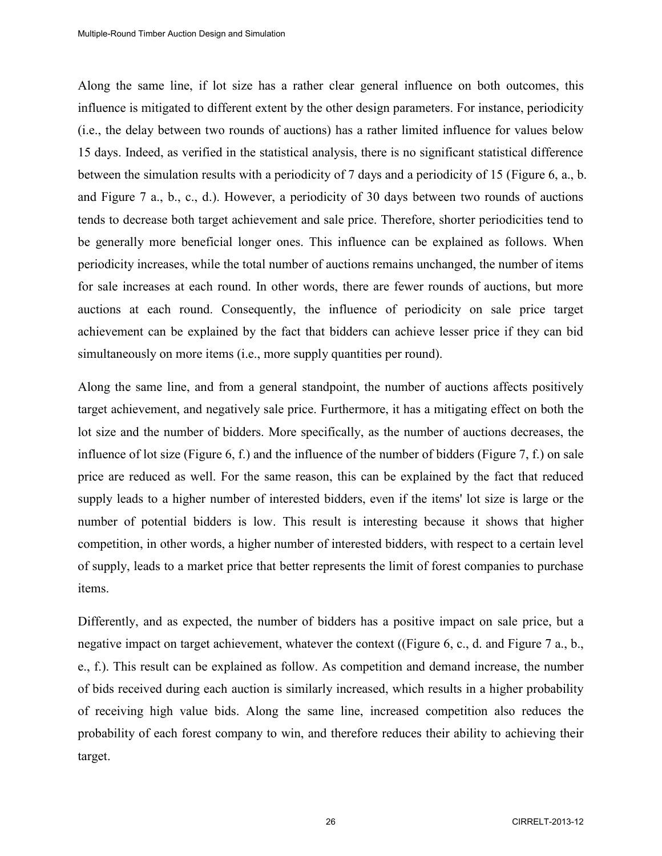Along the same line, if lot size has a rather clear general influence on both outcomes, this influence is mitigated to different extent by the other design parameters. For instance, periodicity (i.e., the delay between two rounds of auctions) has a rather limited influence for values below 15 days. Indeed, as verified in the statistical analysis, there is no significant statistical difference between the simulation results with a periodicity of 7 days and a periodicity of 15 [\(Figure 6,](#page-26-0) a., b. and [Figure 7](#page-28-0) a., b., c., d.). However, a periodicity of 30 days between two rounds of auctions tends to decrease both target achievement and sale price. Therefore, shorter periodicities tend to be generally more beneficial longer ones. This influence can be explained as follows. When periodicity increases, while the total number of auctions remains unchanged, the number of items for sale increases at each round. In other words, there are fewer rounds of auctions, but more auctions at each round. Consequently, the influence of periodicity on sale price target achievement can be explained by the fact that bidders can achieve lesser price if they can bid simultaneously on more items (i.e., more supply quantities per round).

Along the same line, and from a general standpoint, the number of auctions affects positively target achievement, and negatively sale price. Furthermore, it has a mitigating effect on both the lot size and the number of bidders. More specifically, as the number of auctions decreases, the influence of lot size [\(Figure 6,](#page-26-0) f.) and the influence of the number of bidders [\(Figure 7,](#page-28-0) f.) on sale price are reduced as well. For the same reason, this can be explained by the fact that reduced supply leads to a higher number of interested bidders, even if the items' lot size is large or the number of potential bidders is low. This result is interesting because it shows that higher competition, in other words, a higher number of interested bidders, with respect to a certain level of supply, leads to a market price that better represents the limit of forest companies to purchase items.

Differently, and as expected, the number of bidders has a positive impact on sale price, but a negative impact on target achievement, whatever the context ([\(Figure 6,](#page-26-0) c., d. and [Figure 7](#page-28-0) a., b., e., f.). This result can be explained as follow. As competition and demand increase, the number of bids received during each auction is similarly increased, which results in a higher probability of receiving high value bids. Along the same line, increased competition also reduces the probability of each forest company to win, and therefore reduces their ability to achieving their target.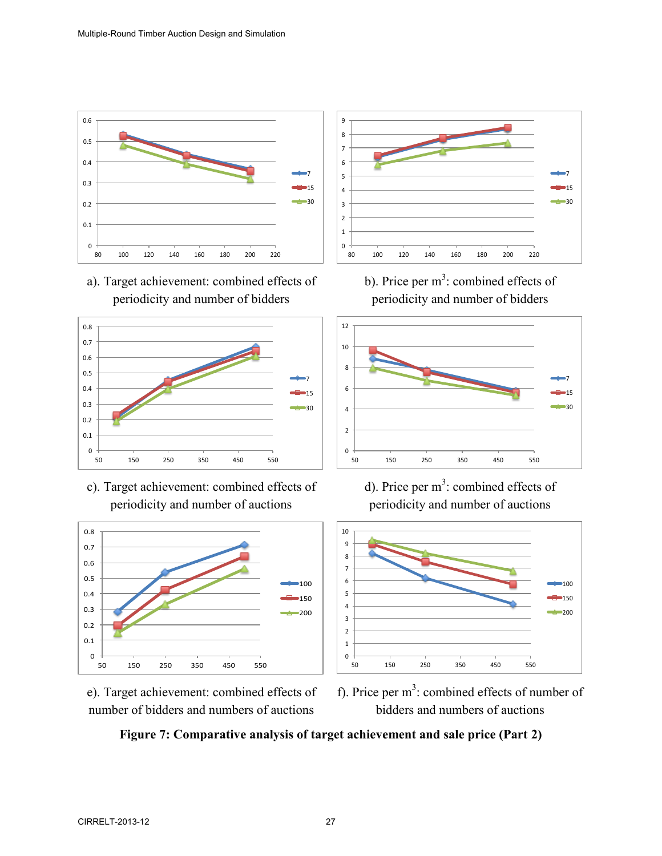

a). Target achievement: combined effects of periodicity and number of bidders



c). Target achievement: combined effects of periodicity and number of auctions



e). Target achievement: combined effects of number of bidders and numbers of auctions



b). Price per  $m^3$ : combined effects of periodicity and number of bidders



d). Price per  $m^3$ : combined effects of periodicity and number of auctions



f). Price per  $m^3$ : combined effects of number of bidders and numbers of auctions

<span id="page-28-0"></span>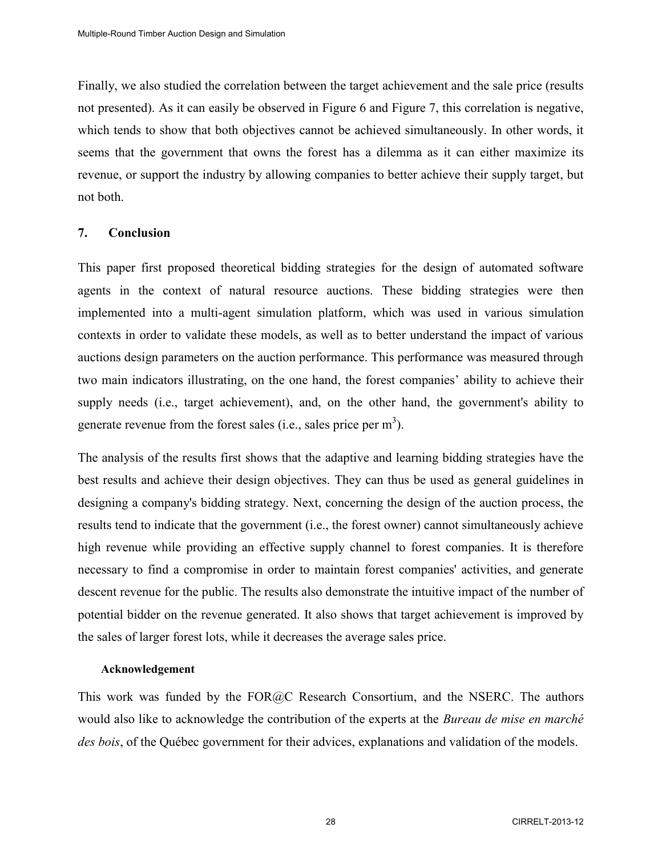Finally, we also studied the correlation between the target achievement and the sale price (results not presented). As it can easily be observed in [Figure 6](#page-26-0) and [Figure 7,](#page-28-0) this correlation is negative, which tends to show that both objectives cannot be achieved simultaneously. In other words, it seems that the government that owns the forest has a dilemma as it can either maximize its revenue, or support the industry by allowing companies to better achieve their supply target, but not both.

## **7. Conclusion**

This paper first proposed theoretical bidding strategies for the design of automated software agents in the context of natural resource auctions. These bidding strategies were then implemented into a multi-agent simulation platform, which was used in various simulation contexts in order to validate these models, as well as to better understand the impact of various auctions design parameters on the auction performance. This performance was measured through two main indicators illustrating, on the one hand, the forest companies' ability to achieve their supply needs (i.e., target achievement), and, on the other hand, the government's ability to generate revenue from the forest sales (i.e., sales price per  $m<sup>3</sup>$ ).

The analysis of the results first shows that the adaptive and learning bidding strategies have the best results and achieve their design objectives. They can thus be used as general guidelines in designing a company's bidding strategy. Next, concerning the design of the auction process, the results tend to indicate that the government (i.e., the forest owner) cannot simultaneously achieve high revenue while providing an effective supply channel to forest companies. It is therefore necessary to find a compromise in order to maintain forest companies' activities, and generate descent revenue for the public. The results also demonstrate the intuitive impact of the number of potential bidder on the revenue generated. It also shows that target achievement is improved by the sales of larger forest lots, while it decreases the average sales price.

#### **Acknowledgement**

This work was funded by the FOR@C Research Consortium, and the NSERC. The authors would also like to acknowledge the contribution of the experts at the *Bureau de mise en marché des bois*, of the Québec government for their advices, explanations and validation of the models.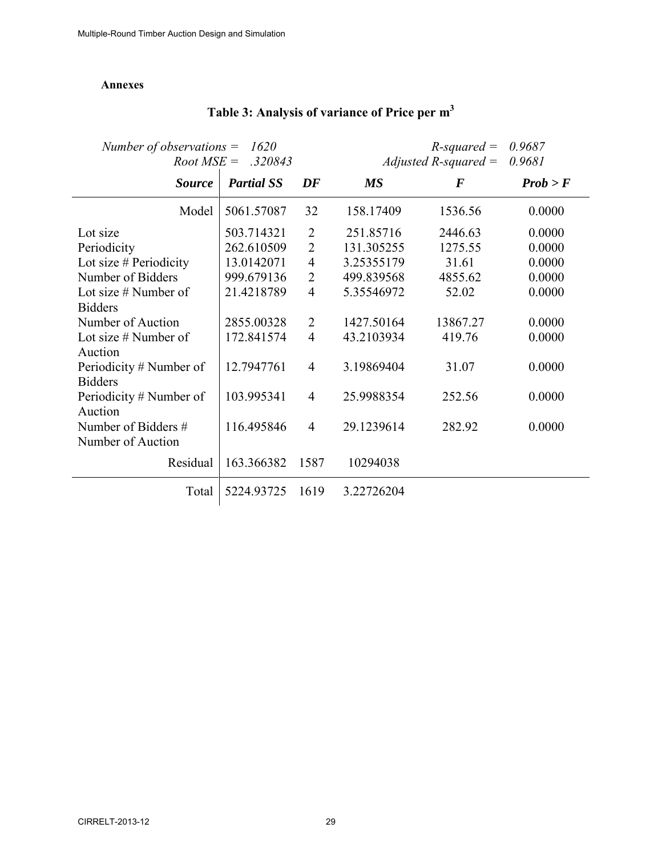## **Annexes**

<span id="page-30-0"></span>

| Number of observations $=$ | 0.9687<br>$R$ -squared $=$ |                |                                  |          |          |
|----------------------------|----------------------------|----------------|----------------------------------|----------|----------|
| $RootMSE =$<br>.320843     |                            |                | Adjusted R-squared $=$<br>0.9681 |          |          |
| <b>Source</b>              | <b>Partial SS</b>          | DF             | <b>MS</b>                        | $\bm{F}$ | Prob > F |
| Model                      | 5061.57087                 | 32             | 158.17409                        | 1536.56  | 0.0000   |
| Lot size                   | 503.714321                 | $\overline{2}$ | 251.85716                        | 2446.63  | 0.0000   |
| Periodicity                | 262.610509                 | $\overline{2}$ | 131.305255                       | 1275.55  | 0.0000   |
| Lot size # Periodicity     | 13.0142071                 | $\overline{4}$ | 3.25355179                       | 31.61    | 0.0000   |
| Number of Bidders          | 999.679136                 | $\overline{2}$ | 499.839568                       | 4855.62  | 0.0000   |
| Lot size $#$ Number of     | 21.4218789                 | $\overline{4}$ | 5.35546972                       | 52.02    | 0.0000   |
| <b>Bidders</b>             |                            |                |                                  |          |          |
| Number of Auction          | 2855.00328                 | $\overline{2}$ | 1427.50164                       | 13867.27 | 0.0000   |
| Lot size $#$ Number of     | 172.841574                 | $\overline{4}$ | 43.2103934                       | 419.76   | 0.0000   |
| Auction                    |                            |                |                                  |          |          |
| Periodicity # Number of    | 12.7947761                 | $\overline{4}$ | 3.19869404                       | 31.07    | 0.0000   |
| <b>Bidders</b>             |                            |                |                                  |          |          |
| Periodicity # Number of    | 103.995341                 | $\overline{4}$ | 25.9988354                       | 252.56   | 0.0000   |
| Auction                    |                            |                |                                  |          |          |
| Number of Bidders #        | 116.495846                 | $\overline{4}$ | 29.1239614                       | 282.92   | 0.0000   |
| Number of Auction          |                            |                |                                  |          |          |
| Residual                   | 163.366382                 | 1587           | 10294038                         |          |          |
|                            |                            |                |                                  |          |          |
| Total                      | 5224.93725                 | 1619           | 3.22726204                       |          |          |

# **Table 3: Analysis of variance of Price per m<sup>3</sup>**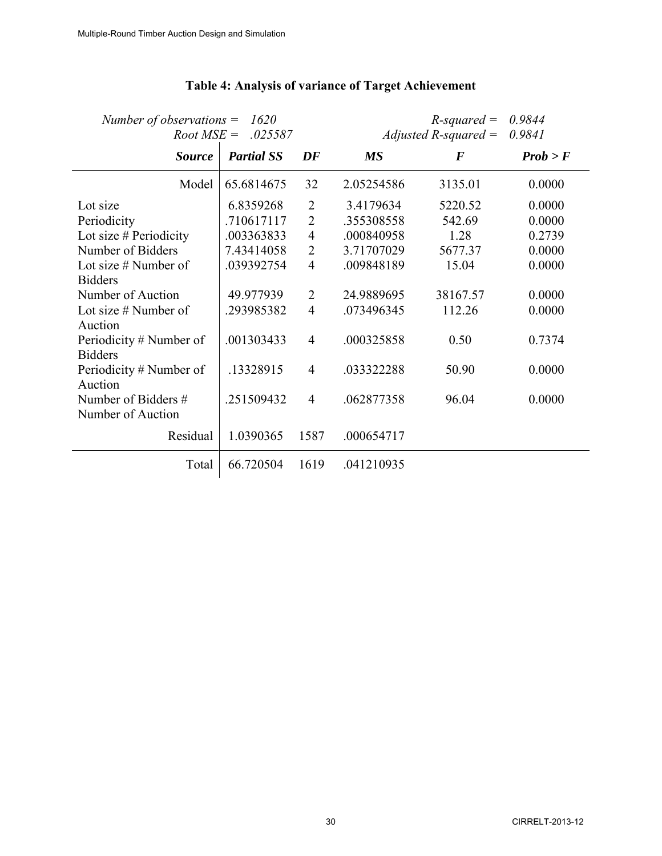<span id="page-31-0"></span>

| Number of observations $=$<br>1620<br>$RootMSE =$<br>.025587 |                   |                | 0.9844<br>$R$ -squared $=$<br>Adjusted R-squared $=$<br>0.9841 |          |          |
|--------------------------------------------------------------|-------------------|----------------|----------------------------------------------------------------|----------|----------|
| <b>Source</b>                                                | <b>Partial SS</b> | DF             | <b>MS</b>                                                      | $\bm{F}$ | Prob > F |
| Model                                                        | 65.6814675        | 32             | 2.05254586                                                     | 3135.01  | 0.0000   |
| Lot size                                                     | 6.8359268         | $\overline{2}$ | 3.4179634                                                      | 5220.52  | 0.0000   |
| Periodicity                                                  | .710617117        | $\overline{2}$ | .355308558                                                     | 542.69   | 0.0000   |
| Lot size $#$ Periodicity                                     | .003363833        | $\overline{4}$ | .000840958                                                     | 1.28     | 0.2739   |
| Number of Bidders                                            | 7.43414058        | $\overline{2}$ | 3.71707029                                                     | 5677.37  | 0.0000   |
| Lot size $#$ Number of                                       | .039392754        | $\overline{4}$ | .009848189                                                     | 15.04    | 0.0000   |
| <b>Bidders</b>                                               |                   |                |                                                                |          |          |
| Number of Auction                                            | 49.977939         | 2              | 24.9889695                                                     | 38167.57 | 0.0000   |
| Lot size $#$ Number of                                       | .293985382        | $\overline{4}$ | .073496345                                                     | 112.26   | 0.0000   |
| Auction                                                      |                   |                |                                                                |          |          |
| Periodicity # Number of                                      | .001303433        | $\overline{4}$ | .000325858                                                     | 0.50     | 0.7374   |
| <b>Bidders</b>                                               |                   |                |                                                                |          |          |
| Periodicity # Number of                                      | .13328915         | $\overline{4}$ | .033322288                                                     | 50.90    | 0.0000   |
| Auction                                                      |                   |                |                                                                |          |          |
| Number of Bidders #                                          | .251509432        | $\overline{4}$ | .062877358                                                     | 96.04    | 0.0000   |
| Number of Auction                                            |                   |                |                                                                |          |          |
| Residual                                                     | 1.0390365         | 1587           | .000654717                                                     |          |          |
| Total                                                        | 66.720504         | 1619           | .041210935                                                     |          |          |

# **Table 4: Analysis of variance of Target Achievement**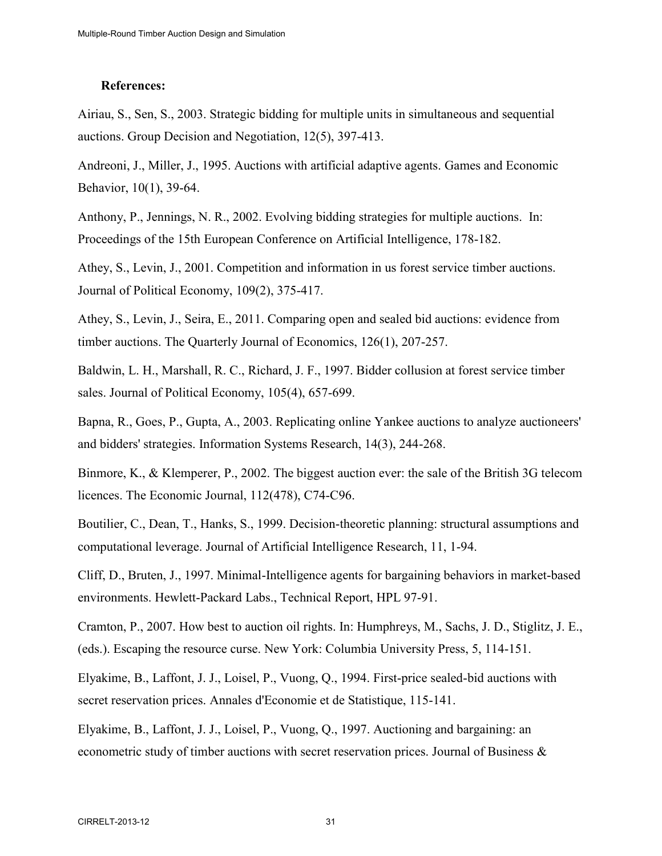## **References:**

Airiau, S., Sen, S., 2003. Strategic bidding for multiple units in simultaneous and sequential auctions. Group Decision and Negotiation, 12(5), 397-413.

Andreoni, J., Miller, J., 1995. Auctions with artificial adaptive agents. Games and Economic Behavior, 10(1), 39-64.

Anthony, P., Jennings, N. R., 2002. Evolving bidding strategies for multiple auctions. In: Proceedings of the 15th European Conference on Artificial Intelligence, 178-182.

Athey, S., Levin, J., 2001. Competition and information in us forest service timber auctions. Journal of Political Economy, 109(2), 375-417.

Athey, S., Levin, J., Seira, E., 2011. Comparing open and sealed bid auctions: evidence from timber auctions. The Quarterly Journal of Economics, 126(1), 207-257.

Baldwin, L. H., Marshall, R. C., Richard, J. F., 1997. Bidder collusion at forest service timber sales. Journal of Political Economy, 105(4), 657-699.

Bapna, R., Goes, P., Gupta, A., 2003. Replicating online Yankee auctions to analyze auctioneers' and bidders' strategies. Information Systems Research, 14(3), 244-268.

Binmore, K., & Klemperer, P., 2002. The biggest auction ever: the sale of the British 3G telecom licences. The Economic Journal, 112(478), C74-C96.

Boutilier, C., Dean, T., Hanks, S., 1999. Decision-theoretic planning: structural assumptions and computational leverage. Journal of Artificial Intelligence Research, 11, 1-94.

Cliff, D., Bruten, J., 1997. Minimal-Intelligence agents for bargaining behaviors in market-based environments. Hewlett-Packard Labs., Technical Report, HPL 97-91.

Cramton, P., 2007. How best to auction oil rights. In: Humphreys, M., Sachs, J. D., Stiglitz, J. E., (eds.). Escaping the resource curse. New York: Columbia University Press, 5, 114-151.

Elyakime, B., Laffont, J. J., Loisel, P., Vuong, Q., 1994. First-price sealed-bid auctions with secret reservation prices. Annales d'Economie et de Statistique, 115-141.

Elyakime, B., Laffont, J. J., Loisel, P., Vuong, Q., 1997. Auctioning and bargaining: an econometric study of timber auctions with secret reservation prices. Journal of Business &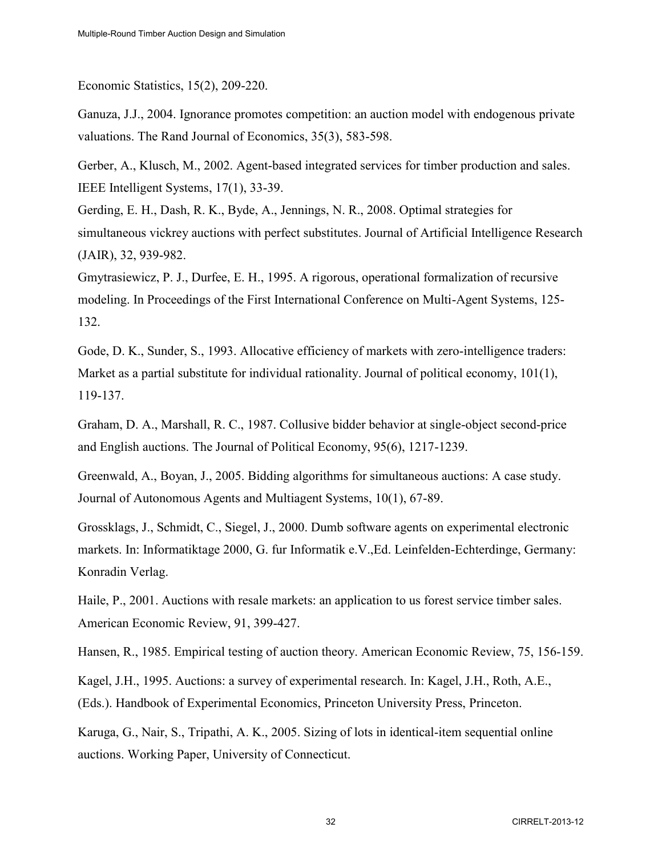Economic Statistics, 15(2), 209-220.

Ganuza, J.J., 2004. Ignorance promotes competition: an auction model with endogenous private valuations. The Rand Journal of Economics, 35(3), 583-598.

Gerber, A., Klusch, M., 2002. Agent-based integrated services for timber production and sales. IEEE Intelligent Systems, 17(1), 33-39.

Gerding, E. H., Dash, R. K., Byde, A., Jennings, N. R., 2008. Optimal strategies for simultaneous vickrey auctions with perfect substitutes. Journal of Artificial Intelligence Research (JAIR), 32, 939-982.

Gmytrasiewicz, P. J., Durfee, E. H., 1995. A rigorous, operational formalization of recursive modeling. In Proceedings of the First International Conference on Multi-Agent Systems, 125- 132.

Gode, D. K., Sunder, S., 1993. Allocative efficiency of markets with zero-intelligence traders: Market as a partial substitute for individual rationality. Journal of political economy, 101(1), 119-137.

Graham, D. A., Marshall, R. C., 1987. Collusive bidder behavior at single-object second-price and English auctions. The Journal of Political Economy, 95(6), 1217-1239.

Greenwald, A., Boyan, J., 2005. Bidding algorithms for simultaneous auctions: A case study. Journal of Autonomous Agents and Multiagent Systems, 10(1), 67-89.

Grossklags, J., Schmidt, C., Siegel, J., 2000. Dumb software agents on experimental electronic markets. In: Informatiktage 2000, G. fur Informatik e.V.,Ed. Leinfelden-Echterdinge, Germany: Konradin Verlag.

Haile, P., 2001. Auctions with resale markets: an application to us forest service timber sales. American Economic Review, 91, 399-427.

Hansen, R., 1985. Empirical testing of auction theory. American Economic Review, 75, 156-159.

Kagel, J.H., 1995. Auctions: a survey of experimental research. In: Kagel, J.H., Roth, A.E., (Eds.). Handbook of Experimental Economics, Princeton University Press, Princeton.

Karuga, G., Nair, S., Tripathi, A. K., 2005. Sizing of lots in identical-item sequential online auctions. Working Paper, University of Connecticut.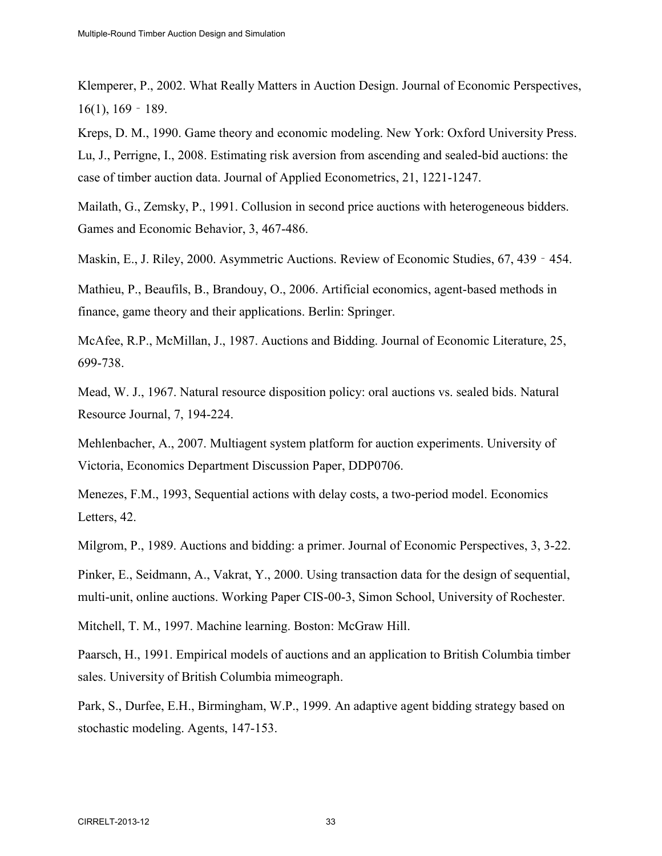Klemperer, P., 2002. What Really Matters in Auction Design. Journal of Economic Perspectives,  $16(1)$ ,  $169 - 189$ .

Kreps, D. M., 1990. Game theory and economic modeling. New York: Oxford University Press. Lu, J., Perrigne, I., 2008. Estimating risk aversion from ascending and sealed-bid auctions: the case of timber auction data. Journal of Applied Econometrics, 21, 1221-1247.

Mailath, G., Zemsky, P., 1991. Collusion in second price auctions with heterogeneous bidders. Games and Economic Behavior, 3, 467-486.

Maskin, E., J. Riley, 2000. Asymmetric Auctions. Review of Economic Studies, 67, 439 - 454.

Mathieu, P., Beaufils, B., Brandouy, O., 2006. Artificial economics, agent-based methods in finance, game theory and their applications. Berlin: Springer.

McAfee, R.P., McMillan, J., 1987. Auctions and Bidding. Journal of Economic Literature, 25, 699-738.

Mead, W. J., 1967. Natural resource disposition policy: oral auctions vs. sealed bids. Natural Resource Journal, 7, 194-224.

Mehlenbacher, A., 2007. Multiagent system platform for auction experiments. University of Victoria, Economics Department Discussion Paper, DDP0706.

Menezes, F.M., 1993, Sequential actions with delay costs, a two-period model. Economics Letters, 42.

Milgrom, P., 1989. Auctions and bidding: a primer. Journal of Economic Perspectives, 3, 3-22. Pinker, E., Seidmann, A., Vakrat, Y., 2000. Using transaction data for the design of sequential, multi-unit, online auctions. Working Paper CIS-00-3, Simon School, University of Rochester.

Mitchell, T. M., 1997. Machine learning. Boston: McGraw Hill.

Paarsch, H., 1991. Empirical models of auctions and an application to British Columbia timber sales. University of British Columbia mimeograph.

Park, S., Durfee, E.H., Birmingham, W.P., 1999. An adaptive agent bidding strategy based on stochastic modeling. Agents, 147-153.